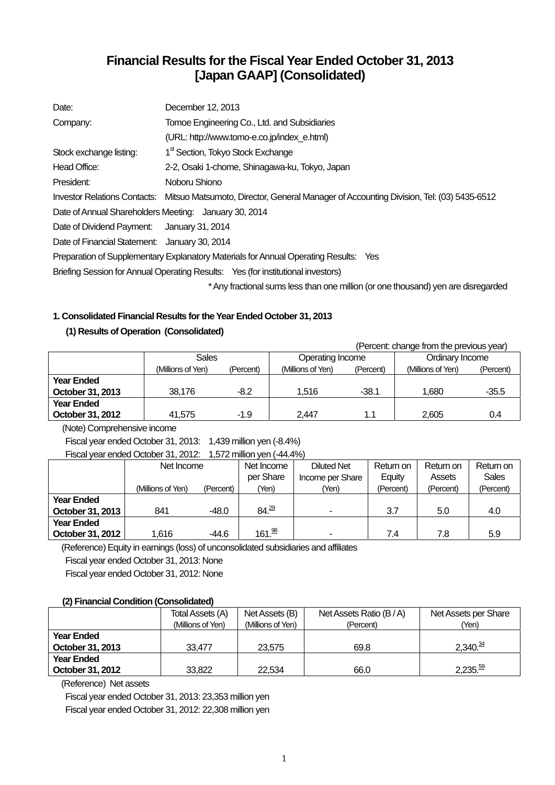# **Financial Results for the Fiscal Year Ended October 31, 2013 [Japan GAAP] (Consolidated)**

| Date:                                                 | December 12, 2013                                                                                                    |  |  |  |  |  |
|-------------------------------------------------------|----------------------------------------------------------------------------------------------------------------------|--|--|--|--|--|
| Company:                                              | Tomoe Engineering Co., Ltd. and Subsidiaries                                                                         |  |  |  |  |  |
|                                                       | (URL: http://www.tomo-e.co.jp/index_e.html)                                                                          |  |  |  |  |  |
| Stock exchange listing:                               | 1 <sup>st</sup> Section, Tokyo Stock Exchange                                                                        |  |  |  |  |  |
| Head Office:                                          | 2-2, Osaki 1-chome, Shinagawa-ku, Tokyo, Japan                                                                       |  |  |  |  |  |
| President:                                            | Noboru Shiono                                                                                                        |  |  |  |  |  |
|                                                       | Investor Relations Contacts: Mitsuo Matsumoto, Director, General Manager of Accounting Division, Tel: (03) 5435-6512 |  |  |  |  |  |
| Date of Annual Shareholders Meeting: January 30, 2014 |                                                                                                                      |  |  |  |  |  |
| Date of Dividend Payment: January 31, 2014            |                                                                                                                      |  |  |  |  |  |
| Date of Financial Statement: January 30, 2014         |                                                                                                                      |  |  |  |  |  |
|                                                       | Preparation of Supplementary Explanatory Materials for Annual Operating Results: Yes                                 |  |  |  |  |  |
|                                                       | Briefing Session for Annual Operating Results: Yes (for institutional investors)                                     |  |  |  |  |  |
|                                                       | * Any fractional sums less than one million (or one thousand) yen are disregarded                                    |  |  |  |  |  |

## **1. Consolidated Financial Results for the Year Ended October 31, 2013**

## **(1) Results of Operation (Consolidated)**

 (Percent: change from the previous year) Sales **Operating Income Ordinary Income** (Millions of Yen) (Percent) (Millions of Yen) (Percent) (Millions of Yen) (Percent) **Year Ended October 31, 2013 38,176** -8.2 1,516 -38.1 1,680 -35.5 **Year Ended October 31, 2012**  $\begin{array}{|c|c|c|c|c|c|} \hline \end{array}$  41,575 -1.9  $\begin{array}{|c|c|c|c|c|} \hline \end{array}$  2,447 -1.1  $\begin{array}{|c|c|c|c|c|} \hline \end{array}$  2,605 - 0.4

(Note) Comprehensive income

Fiscal year ended October 31, 2013: 1,439 million yen (-8.4%)

Fiscal year ended October 31, 2012: 1,572 million yen (-44.4%)

|                   | Net Income        |           | Net Income         | <b>Diluted Net</b>       | Return on | Return on | Return on    |
|-------------------|-------------------|-----------|--------------------|--------------------------|-----------|-----------|--------------|
|                   |                   |           | per Share          | Income per Share         | Equity    | Assets    | <b>Sales</b> |
|                   | (Millions of Yen) | (Percent) | 'Yen)              | (Yen)                    | (Percent) | (Percent) | (Percent)    |
| <b>Year Ended</b> |                   |           |                    |                          |           |           |              |
| October 31, 2013  | 841               | $-48.0$   | 84.29              | $\overline{\phantom{a}}$ | 3.7       | 5.0       | 4.0          |
| <b>Year Ended</b> |                   |           |                    |                          |           |           |              |
| October 31, 2012  | 1.616             | -44.6     | 161. <sup>98</sup> | $\overline{\phantom{0}}$ | 7.4       | 7.8       | 5.9          |

(Reference) Equity in earnings (loss) of unconsolidated subsidiaries and affiliates

Fiscal year ended October 31, 2013: None

Fiscal year ended October 31, 2012: None

## **(2) Financial Condition (Consolidated)**

|                   | Total Assets (A)  | Net Assets (B)    | Net Assets Ratio (B/A) | Net Assets per Share  |
|-------------------|-------------------|-------------------|------------------------|-----------------------|
|                   | (Millions of Yen) | (Millions of Yen) | (Percent)              | (Yen)                 |
| <b>Year Ended</b> |                   |                   |                        |                       |
| October 31, 2013  | 33.477            | 23.575            | 69.8                   | $2,340.\frac{34}{7}$  |
| <b>Year Ended</b> |                   |                   |                        |                       |
| October 31, 2012  | 33,822            | 22.534            | 66.0                   | $2,235.\overline{59}$ |

(Reference) Net assets

Fiscal year ended October 31, 2013: 23,353 million yen Fiscal year ended October 31, 2012: 22,308 million yen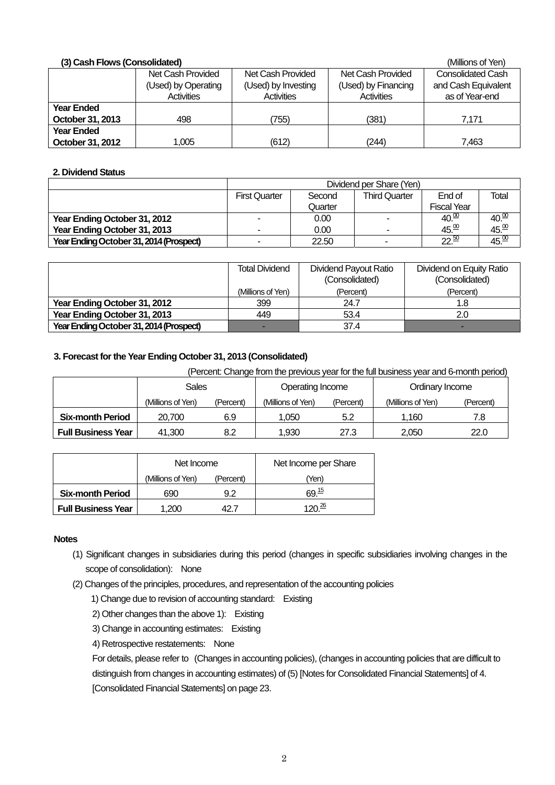| (3) Cash Flows (Consolidated)<br>(Millions of Yen) |                     |                     |                     |                          |  |  |  |  |
|----------------------------------------------------|---------------------|---------------------|---------------------|--------------------------|--|--|--|--|
|                                                    | Net Cash Provided   | Net Cash Provided   | Net Cash Provided   | <b>Consolidated Cash</b> |  |  |  |  |
|                                                    | (Used) by Operating | (Used) by Investing | (Used) by Financing | and Cash Equivalent      |  |  |  |  |
|                                                    | <b>Activities</b>   | Activities          | Activities          | as of Year-end           |  |  |  |  |
| Year Ended                                         |                     |                     |                     |                          |  |  |  |  |
| October 31, 2013                                   | 498                 | 755)                | (381)               | 7.171                    |  |  |  |  |
| <b>Year Ended</b>                                  |                     |                     |                     |                          |  |  |  |  |
| October 31, 2012                                   | 1,005               | (612)               | (244)               | 7,463                    |  |  |  |  |

### **2. Dividend Status**

|                                         | Dividend per Share (Yen)                                                  |         |   |                    |                   |  |
|-----------------------------------------|---------------------------------------------------------------------------|---------|---|--------------------|-------------------|--|
|                                         | <b>Third Quarter</b><br>End of<br>Total<br><b>First Quarter</b><br>Second |         |   |                    |                   |  |
|                                         |                                                                           | Quarter |   | <b>Fiscal Year</b> |                   |  |
| Year Ending October 31, 2012            | $\overline{\phantom{a}}$                                                  | 0.00    |   | $40\frac{00}{10}$  | 40.00             |  |
| Year Ending October 31, 2013            | -                                                                         | 0.00    |   | 45.00              | $45\frac{00}{10}$ |  |
| Year Ending October 31, 2014 (Prospect) | -                                                                         | 22.50   | - | $22^{50}$          | 45.00             |  |

|                                         | Total Dividend    | Dividend Payout Ratio<br>(Consolidated) | Dividend on Equity Ratio<br>(Consolidated) |
|-----------------------------------------|-------------------|-----------------------------------------|--------------------------------------------|
|                                         | (Millions of Yen) | (Percent)                               | (Percent)                                  |
| Year Ending October 31, 2012            | 399               | 24.7                                    | 1.8                                        |
| Year Ending October 31, 2013            | 449               | 53.4                                    | 2.0                                        |
| Year Ending October 31, 2014 (Prospect) |                   | 37.4                                    | -                                          |

## **3. Forecast for the Year Ending October 31, 2013 (Consolidated)**

(Percent: Change from the previous year for the full business year and 6-month period)

|                           | Sales             |           | Operating Income  |           | Ordinary Income   |           |
|---------------------------|-------------------|-----------|-------------------|-----------|-------------------|-----------|
|                           | (Millions of Yen) | (Percent) | (Millions of Yen) | (Percent) | (Millions of Yen) | (Percent) |
| <b>Six-month Period</b>   | 20.700            | 6.9       | .050              | 5.2       | 1.160             | 7.8       |
| <b>Full Business Year</b> | 41.300            | 8.2       | .930              | 27.3      | 2.050             | 22.0      |

|                           | Net Income        |           | Net Income per Share |
|---------------------------|-------------------|-----------|----------------------|
|                           | (Millions of Yen) | (Percent) | (Yen                 |
| <b>Six-month Period</b>   | 690               | 92        | 69 <sup>15</sup>     |
| <b>Full Business Year</b> | 1.200             |           | 4 റ∩ ≟⊵              |

## **Notes**

- (1) Significant changes in subsidiaries during this period (changes in specific subsidiaries involving changes in the scope of consolidation): None
- (2) Changes of the principles, procedures, and representation of the accounting policies
	- 1) Change due to revision of accounting standard: Existing
	- 2) Other changes than the above 1): Existing
	- 3) Change in accounting estimates: Existing
	- 4) Retrospective restatements: None

 For details, please refer to (Changes in accounting policies), (changes in accounting policies that are difficult to distinguish from changes in accounting estimates) of (5) [Notes for Consolidated Financial Statements] of 4. [Consolidated Financial Statements] on page 23.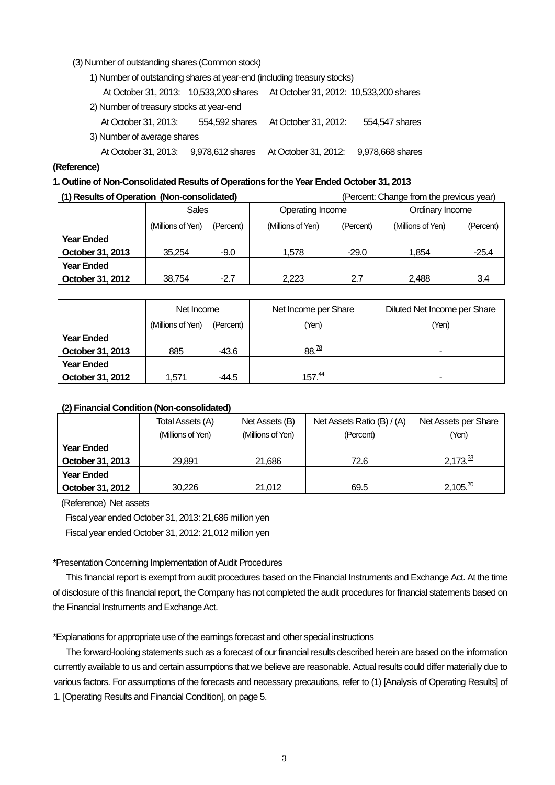(3) Number of outstanding shares (Common stock)

1) Number of outstanding shares at year-end (including treasury stocks)

| At October 31, 2013: 10,533,200 shares   |                | At October 31, 2012: 10,533,200 shares |                  |  |  |
|------------------------------------------|----------------|----------------------------------------|------------------|--|--|
| 2) Number of treasury stocks at year-end |                |                                        |                  |  |  |
| At October 31, 2013:                     | 554,592 shares | At October 31, 2012:                   | 554,547 shares   |  |  |
| 3) Number of average shares              |                |                                        |                  |  |  |
| At October 31, 2013: 9,978,612 shares    |                | At October 31, 2012:                   | 9,978,668 shares |  |  |
|                                          |                |                                        |                  |  |  |

#### **(Reference)**

### **1. Outline of Non-Consolidated Results of Operations for the Year Ended October 31, 2013**

| (1) Results of Operation (Non-consolidated) |                   |           | (Percent: Change from the previous year) |           |                   |           |
|---------------------------------------------|-------------------|-----------|------------------------------------------|-----------|-------------------|-----------|
|                                             | <b>Sales</b>      |           | Operating Income                         |           | Ordinary Income   |           |
|                                             | (Millions of Yen) | (Percent) | (Millions of Yen)                        | (Percent) | (Millions of Yen) | (Percent) |
| <b>Year Ended</b>                           |                   |           |                                          |           |                   |           |
| October 31, 2013                            | 35.254            | $-9.0$    | 1.578                                    | $-29.0$   | 1.854             | $-25.4$   |
| <b>Year Ended</b>                           |                   |           |                                          |           |                   |           |
| October 31, 2012                            | 38.754            | $-2.7$    | 2.223                                    | 2.7       | 2.488             | 3.4       |

|                   | Net Income        |           | Net Income per Share | Diluted Net Income per Share |
|-------------------|-------------------|-----------|----------------------|------------------------------|
|                   | (Millions of Yen) | (Percent) | (Yen)                | (Yen)                        |
| <b>Year Ended</b> |                   |           |                      |                              |
| October 31, 2013  | 885               | -43.6     | 88.78                | -                            |
| <b>Year Ended</b> |                   |           |                      |                              |
| October 31, 2012  | 1.571             | -44.5     | 157 <sup>44</sup>    |                              |

## **(2) Financial Condition (Non-consolidated)**

|                   | Total Assets (A)  | Net Assets (B)    | Net Assets Ratio (B) / (A) | Net Assets per Share     |
|-------------------|-------------------|-------------------|----------------------------|--------------------------|
|                   | (Millions of Yen) | (Millions of Yen) | (Percent)                  | (Yen)                    |
| <b>Year Ended</b> |                   |                   |                            |                          |
| October 31, 2013  | 29.891            | 21.686            | 72.6                       | $2,173.\overline{3}$     |
| <b>Year Ended</b> |                   |                   |                            |                          |
| October 31, 2012  | 30.226            | 21.012            | 69.5                       | $2,105.\overline{^{70}}$ |

(Reference) Net assets

Fiscal year ended October 31, 2013: 21,686 million yen Fiscal year ended October 31, 2012: 21,012 million yen

## \*Presentation Concerning Implementation of Audit Procedures

This financial report is exempt from audit procedures based on the Financial Instruments and Exchange Act. At the time of disclosure of this financial report, the Company has not completed the audit procedures for financial statements based on the Financial Instruments and Exchange Act.

\*Explanations for appropriate use of the earnings forecast and other special instructions

The forward-looking statements such as a forecast of our financial results described herein are based on the information currently available to us and certain assumptions that we believe are reasonable. Actual results could differ materially due to various factors. For assumptions of the forecasts and necessary precautions, refer to (1) [Analysis of Operating Results] of 1. [Operating Results and Financial Condition], on page 5.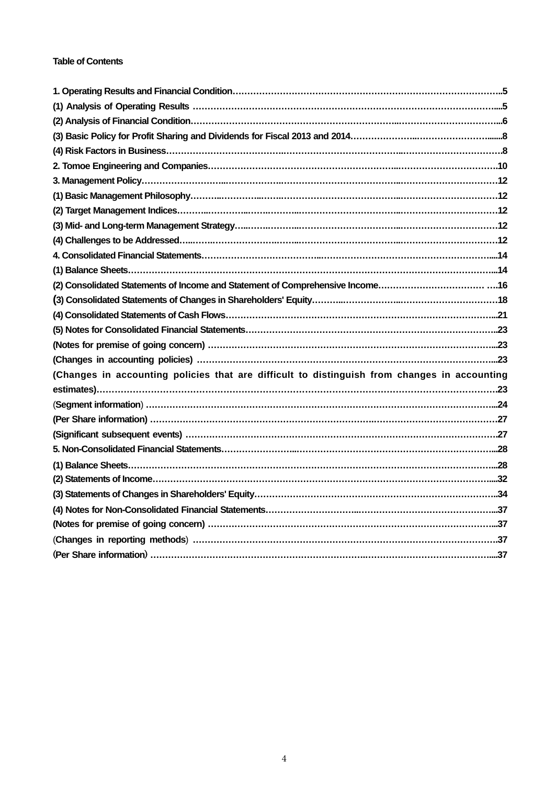## **Table of Contents**

| (2) Consolidated Statements of Income and Statement of Comprehensive Income16                |
|----------------------------------------------------------------------------------------------|
|                                                                                              |
|                                                                                              |
|                                                                                              |
|                                                                                              |
|                                                                                              |
| (Changes in accounting policies that are difficult to distinguish from changes in accounting |
|                                                                                              |
|                                                                                              |
|                                                                                              |
|                                                                                              |
|                                                                                              |
|                                                                                              |
|                                                                                              |
|                                                                                              |
|                                                                                              |
|                                                                                              |
|                                                                                              |
|                                                                                              |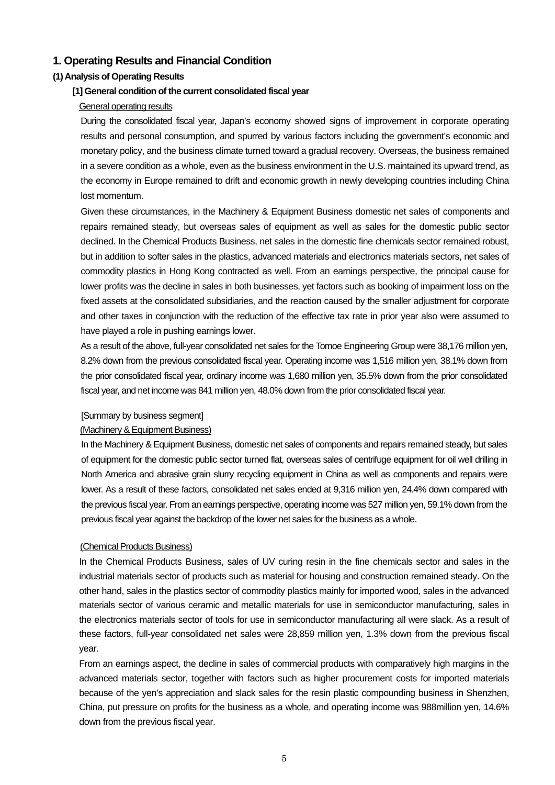## **1. Operating Results and Financial Condition**

## **(1) Analysis of Operating Results**

#### **[1] General condition of the current consolidated fiscal year**

### General operating results

During the consolidated fiscal year, Japan's economy showed signs of improvement in corporate operating results and personal consumption, and spurred by various factors including the government's economic and monetary policy, and the business climate turned toward a gradual recovery. Overseas, the business remained in a severe condition as a whole, even as the business environment in the U.S. maintained its upward trend, as the economy in Europe remained to drift and economic growth in newly developing countries including China lost momentum.

Given these circumstances, in the Machinery & Equipment Business domestic net sales of components and repairs remained steady, but overseas sales of equipment as well as sales for the domestic public sector declined. In the Chemical Products Business, net sales in the domestic fine chemicals sector remained robust, but in addition to softer sales in the plastics, advanced materials and electronics materials sectors, net sales of commodity plastics in Hong Kong contracted as well. From an earnings perspective, the principal cause for lower profits was the decline in sales in both businesses, yet factors such as booking of impairment loss on the fixed assets at the consolidated subsidiaries, and the reaction caused by the smaller adjustment for corporate and other taxes in conjunction with the reduction of the effective tax rate in prior year also were assumed to have played a role in pushing earnings lower.

As a result of the above, full-year consolidated net sales for the Tomoe Engineering Group were 38,176 million yen, 8.2% down from the previous consolidated fiscal year. Operating income was 1,516 million yen, 38.1% down from the prior consolidated fiscal year, ordinary income was 1,680 million yen, 35.5% down from the prior consolidated fiscal year, and net income was 841 million yen, 48.0% down from the prior consolidated fiscal year.

#### [Summary by business segment]

#### (Machinery & Equipment Business)

In the Machinery & Equipment Business, domestic net sales of components and repairs remained steady, but sales of equipment for the domestic public sector turned flat, overseas sales of centrifuge equipment for oil well drilling in North America and abrasive grain slurry recycling equipment in China as well as components and repairs were lower. As a result of these factors, consolidated net sales ended at 9,316 million yen, 24.4% down compared with the previous fiscal year. From an earnings perspective, operating income was 527 million yen, 59.1% down from the previous fiscal year against the backdrop of the lower net sales for the business as a whole.

#### (Chemical Products Business)

In the Chemical Products Business, sales of UV curing resin in the fine chemicals sector and sales in the industrial materials sector of products such as material for housing and construction remained steady. On the other hand, sales in the plastics sector of commodity plastics mainly for imported wood, sales in the advanced materials sector of various ceramic and metallic materials for use in semiconductor manufacturing, sales in the electronics materials sector of tools for use in semiconductor manufacturing all were slack. As a result of these factors, full-year consolidated net sales were 28,859 million yen, 1.3% down from the previous fiscal year.

From an earnings aspect, the decline in sales of commercial products with comparatively high margins in the advanced materials sector, together with factors such as higher procurement costs for imported materials because of the yen's appreciation and slack sales for the resin plastic compounding business in Shenzhen, China, put pressure on profits for the business as a whole, and operating income was 988million yen, 14.6% down from the previous fiscal year.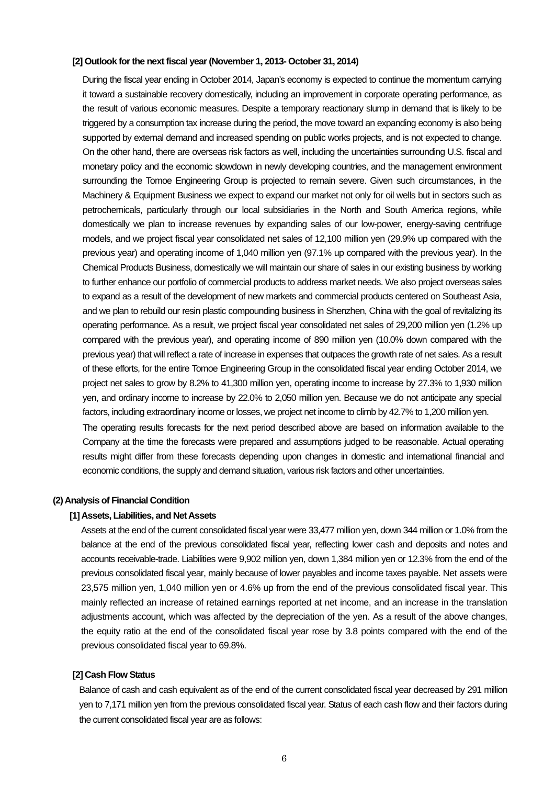#### **[2] Outlook for the next fiscal year (November 1, 2013- October 31, 2014)**

During the fiscal year ending in October 2014, Japan's economy is expected to continue the momentum carrying it toward a sustainable recovery domestically, including an improvement in corporate operating performance, as the result of various economic measures. Despite a temporary reactionary slump in demand that is likely to be triggered by a consumption tax increase during the period, the move toward an expanding economy is also being supported by external demand and increased spending on public works projects, and is not expected to change. On the other hand, there are overseas risk factors as well, including the uncertainties surrounding U.S. fiscal and monetary policy and the economic slowdown in newly developing countries, and the management environment surrounding the Tomoe Engineering Group is projected to remain severe. Given such circumstances, in the Machinery & Equipment Business we expect to expand our market not only for oil wells but in sectors such as petrochemicals, particularly through our local subsidiaries in the North and South America regions, while domestically we plan to increase revenues by expanding sales of our low-power, energy-saving centrifuge models, and we project fiscal year consolidated net sales of 12,100 million yen (29.9% up compared with the previous year) and operating income of 1,040 million yen (97.1% up compared with the previous year). In the Chemical Products Business, domestically we will maintain our share of sales in our existing business by working to further enhance our portfolio of commercial products to address market needs. We also project overseas sales to expand as a result of the development of new markets and commercial products centered on Southeast Asia, and we plan to rebuild our resin plastic compounding business in Shenzhen, China with the goal of revitalizing its operating performance. As a result, we project fiscal year consolidated net sales of 29,200 million yen (1.2% up compared with the previous year), and operating income of 890 million yen (10.0% down compared with the previous year) that will reflect a rate of increase in expenses that outpaces the growth rate of net sales. As a result of these efforts, for the entire Tomoe Engineering Group in the consolidated fiscal year ending October 2014, we project net sales to grow by 8.2% to 41,300 million yen, operating income to increase by 27.3% to 1,930 million yen, and ordinary income to increase by 22.0% to 2,050 million yen. Because we do not anticipate any special factors, including extraordinary income or losses, we project net income to climb by 42.7% to 1,200 million yen.

The operating results forecasts for the next period described above are based on information available to the Company at the time the forecasts were prepared and assumptions judged to be reasonable. Actual operating results might differ from these forecasts depending upon changes in domestic and international financial and economic conditions, the supply and demand situation, various risk factors and other uncertainties.

#### **(2) Analysis of Financial Condition**

#### **[1] Assets, Liabilities, and Net Assets**

Assets at the end of the current consolidated fiscal year were 33,477 million yen, down 344 million or 1.0% from the balance at the end of the previous consolidated fiscal year, reflecting lower cash and deposits and notes and accounts receivable-trade. Liabilities were 9,902 million yen, down 1,384 million yen or 12.3% from the end of the previous consolidated fiscal year, mainly because of lower payables and income taxes payable. Net assets were 23,575 million yen, 1,040 million yen or 4.6% up from the end of the previous consolidated fiscal year. This mainly reflected an increase of retained earnings reported at net income, and an increase in the translation adjustments account, which was affected by the depreciation of the yen. As a result of the above changes, the equity ratio at the end of the consolidated fiscal year rose by 3.8 points compared with the end of the previous consolidated fiscal year to 69.8%.

#### **[2] Cash Flow Status**

Balance of cash and cash equivalent as of the end of the current consolidated fiscal year decreased by 291 million yen to 7,171 million yen from the previous consolidated fiscal year. Status of each cash flow and their factors during the current consolidated fiscal year are as follows: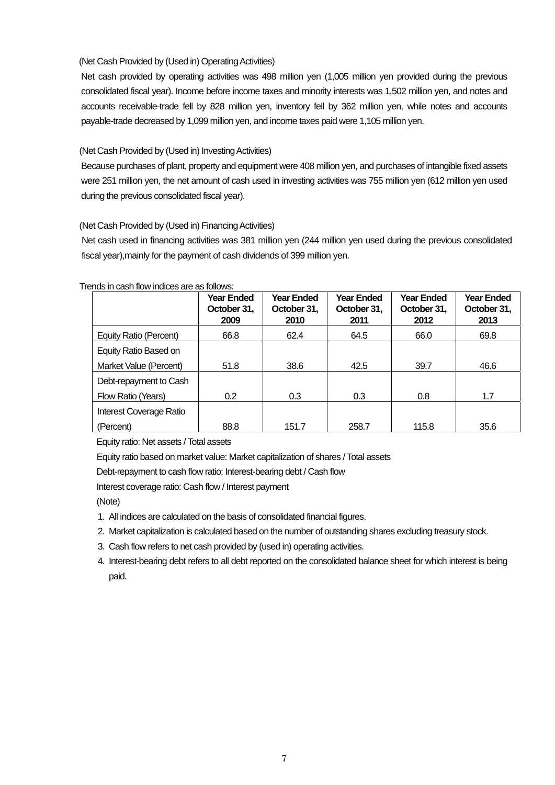## (Net Cash Provided by (Used in) Operating Activities)

Net cash provided by operating activities was 498 million yen (1,005 million yen provided during the previous consolidated fiscal year). Income before income taxes and minority interests was 1,502 million yen, and notes and accounts receivable-trade fell by 828 million yen, inventory fell by 362 million yen, while notes and accounts payable-trade decreased by 1,099 million yen, and income taxes paid were 1,105 million yen.

## (Net Cash Provided by (Used in) Investing Activities)

Because purchases of plant, property and equipment were 408 million yen, and purchases of intangible fixed assets were 251 million yen, the net amount of cash used in investing activities was 755 million yen (612 million yen used during the previous consolidated fiscal year).

## (Net Cash Provided by (Used in) Financing Activities)

Net cash used in financing activities was 381 million yen (244 million yen used during the previous consolidated fiscal year),mainly for the payment of cash dividends of 399 million yen.

|                         | <b>Year Ended</b><br>October 31,<br>2009 | <b>Year Ended</b><br>October 31,<br>2010 | <b>Year Ended</b><br>October 31,<br>2011 | <b>Year Ended</b><br>October 31,<br>2012 | <b>Year Ended</b><br>October 31,<br>2013 |
|-------------------------|------------------------------------------|------------------------------------------|------------------------------------------|------------------------------------------|------------------------------------------|
| Equity Ratio (Percent)  | 66.8                                     | 62.4                                     | 64.5                                     | 66.0                                     | 69.8                                     |
| Equity Ratio Based on   |                                          |                                          |                                          |                                          |                                          |
| Market Value (Percent)  | 51.8                                     | 38.6                                     | 42.5                                     | 39.7                                     | 46.6                                     |
| Debt-repayment to Cash  |                                          |                                          |                                          |                                          |                                          |
| Flow Ratio (Years)      | 0.2                                      | 0.3                                      | 0.3                                      | 0.8                                      | 1.7                                      |
| Interest Coverage Ratio |                                          |                                          |                                          |                                          |                                          |
| (Percent)               | 88.8                                     | 151.7                                    | 258.7                                    | 115.8                                    | 35.6                                     |

Trends in cash flow indices are as follows:

Equity ratio: Net assets / Total assets

Equity ratio based on market value: Market capitalization of shares / Total assets

Debt-repayment to cash flow ratio: Interest-bearing debt / Cash flow

Interest coverage ratio: Cash flow / Interest payment

(Note)

- 1. All indices are calculated on the basis of consolidated financial figures.
- 2. Market capitalization is calculated based on the number of outstanding shares excluding treasury stock.
- 3. Cash flow refers to net cash provided by (used in) operating activities.
- 4. Interest-bearing debt refers to all debt reported on the consolidated balance sheet for which interest is being paid.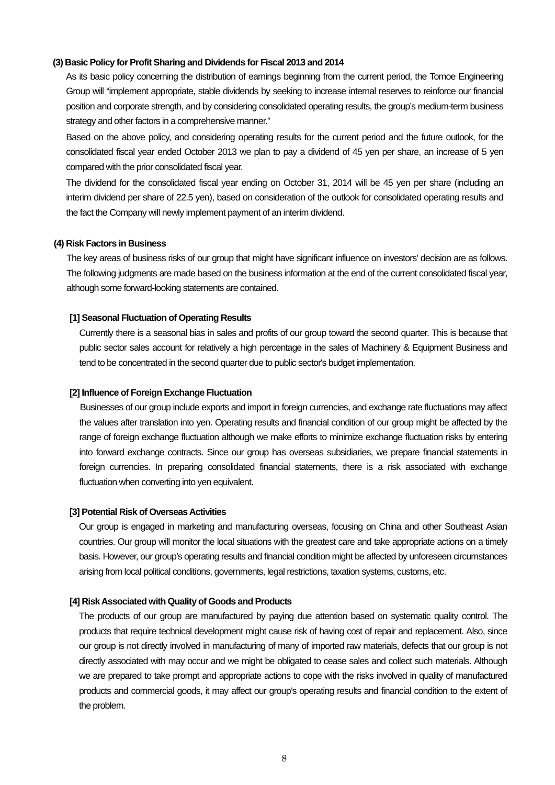#### **(3) Basic Policy for Profit Sharing and Dividends for Fiscal 2013 and 2014**

As its basic policy concerning the distribution of earnings beginning from the current period, the Tomoe Engineering Group will "implement appropriate, stable dividends by seeking to increase internal reserves to reinforce our financial position and corporate strength, and by considering consolidated operating results, the group's medium-term business strategy and other factors in a comprehensive manner."

Based on the above policy, and considering operating results for the current period and the future outlook, for the consolidated fiscal year ended October 2013 we plan to pay a dividend of 45 yen per share, an increase of 5 yen compared with the prior consolidated fiscal year.

The dividend for the consolidated fiscal year ending on October 31, 2014 will be 45 yen per share (including an interim dividend per share of 22.5 yen), based on consideration of the outlook for consolidated operating results and the fact the Company will newly implement payment of an interim dividend.

#### **(4) Risk Factors in Business**

The key areas of business risks of our group that might have significant influence on investors' decision are as follows. The following judgments are made based on the business information at the end of the current consolidated fiscal year, although some forward-looking statements are contained.

### **[1] Seasonal Fluctuation of Operating Results**

Currently there is a seasonal bias in sales and profits of our group toward the second quarter. This is because that public sector sales account for relatively a high percentage in the sales of Machinery & Equipment Business and tend to be concentrated in the second quarter due to public sector's budget implementation.

#### **[2] Influence of Foreign Exchange Fluctuation**

Businesses of our group include exports and import in foreign currencies, and exchange rate fluctuations may affect the values after translation into yen. Operating results and financial condition of our group might be affected by the range of foreign exchange fluctuation although we make efforts to minimize exchange fluctuation risks by entering into forward exchange contracts. Since our group has overseas subsidiaries, we prepare financial statements in foreign currencies. In preparing consolidated financial statements, there is a risk associated with exchange fluctuation when converting into yen equivalent.

#### **[3] Potential Risk of Overseas Activities**

Our group is engaged in marketing and manufacturing overseas, focusing on China and other Southeast Asian countries. Our group will monitor the local situations with the greatest care and take appropriate actions on a timely basis. However, our group's operating results and financial condition might be affected by unforeseen circumstances arising from local political conditions, governments, legal restrictions, taxation systems, customs, etc.

#### **[4] Risk Associated with Quality of Goods and Products**

The products of our group are manufactured by paying due attention based on systematic quality control. The products that require technical development might cause risk of having cost of repair and replacement. Also, since our group is not directly involved in manufacturing of many of imported raw materials, defects that our group is not directly associated with may occur and we might be obligated to cease sales and collect such materials. Although we are prepared to take prompt and appropriate actions to cope with the risks involved in quality of manufactured products and commercial goods, it may affect our group's operating results and financial condition to the extent of the problem.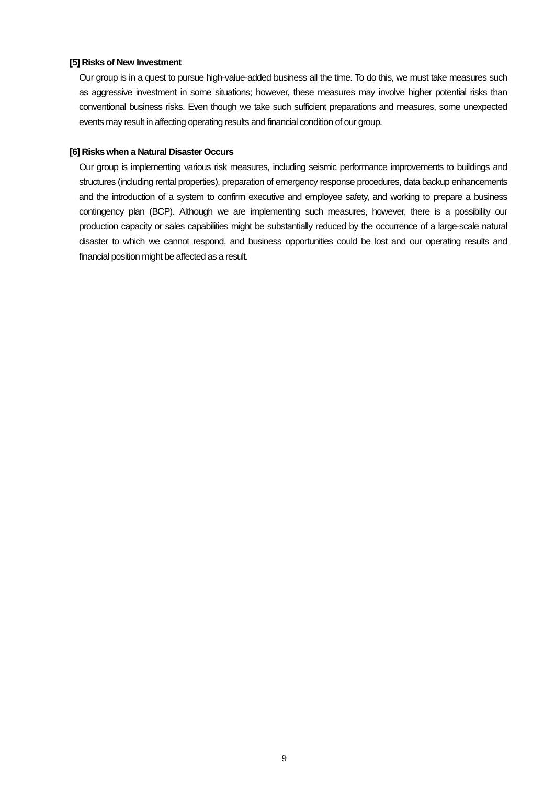#### **[5] Risks of New Investment**

Our group is in a quest to pursue high-value-added business all the time. To do this, we must take measures such as aggressive investment in some situations; however, these measures may involve higher potential risks than conventional business risks. Even though we take such sufficient preparations and measures, some unexpected events may result in affecting operating results and financial condition of our group.

#### **[6] Risks when a Natural Disaster Occurs**

Our group is implementing various risk measures, including seismic performance improvements to buildings and structures (including rental properties), preparation of emergency response procedures, data backup enhancements and the introduction of a system to confirm executive and employee safety, and working to prepare a business contingency plan (BCP). Although we are implementing such measures, however, there is a possibility our production capacity or sales capabilities might be substantially reduced by the occurrence of a large-scale natural disaster to which we cannot respond, and business opportunities could be lost and our operating results and financial position might be affected as a result.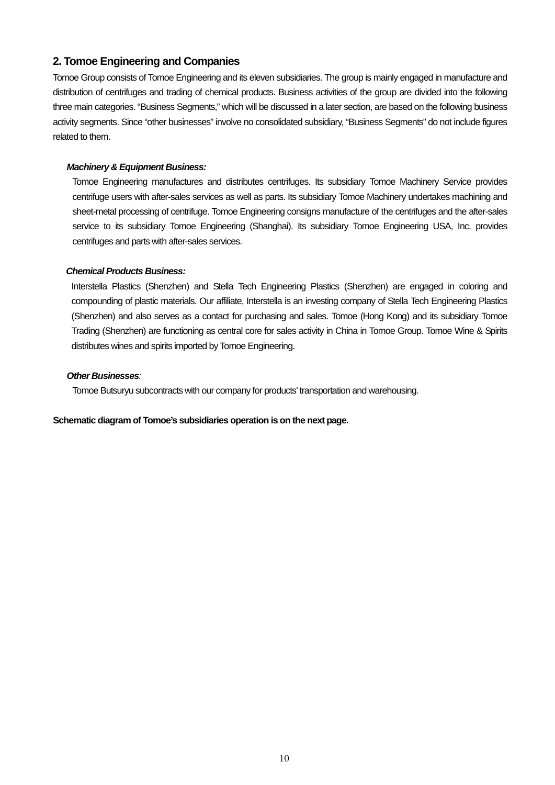## **2. Tomoe Engineering and Companies**

Tomoe Group consists of Tomoe Engineering and its eleven subsidiaries. The group is mainly engaged in manufacture and distribution of centrifuges and trading of chemical products. Business activities of the group are divided into the following three main categories. "Business Segments," which will be discussed in a later section, are based on the following business activity segments. Since "other businesses" involve no consolidated subsidiary, "Business Segments" do not include figures related to them.

## *Machinery & Equipment Business:*

Tomoe Engineering manufactures and distributes centrifuges. Its subsidiary Tomoe Machinery Service provides centrifuge users with after-sales services as well as parts. Its subsidiary Tomoe Machinery undertakes machining and sheet-metal processing of centrifuge. Tomoe Engineering consigns manufacture of the centrifuges and the after-sales service to its subsidiary Tomoe Engineering (Shanghai). Its subsidiary Tomoe Engineering USA, Inc. provides centrifuges and parts with after-sales services.

## *Chemical Products Business:*

Interstella Plastics (Shenzhen) and Stella Tech Engineering Plastics (Shenzhen) are engaged in coloring and compounding of plastic materials. Our affiliate, Interstella is an investing company of Stella Tech Engineering Plastics (Shenzhen) and also serves as a contact for purchasing and sales. Tomoe (Hong Kong) and its subsidiary Tomoe Trading (Shenzhen) are functioning as central core for sales activity in China in Tomoe Group. Tomoe Wine & Spirits distributes wines and spirits imported by Tomoe Engineering.

## *Other Businesses:*

Tomoe Butsuryu subcontracts with our company for products' transportation and warehousing.

**Schematic diagram of Tomoe's subsidiaries operation is on the next page.**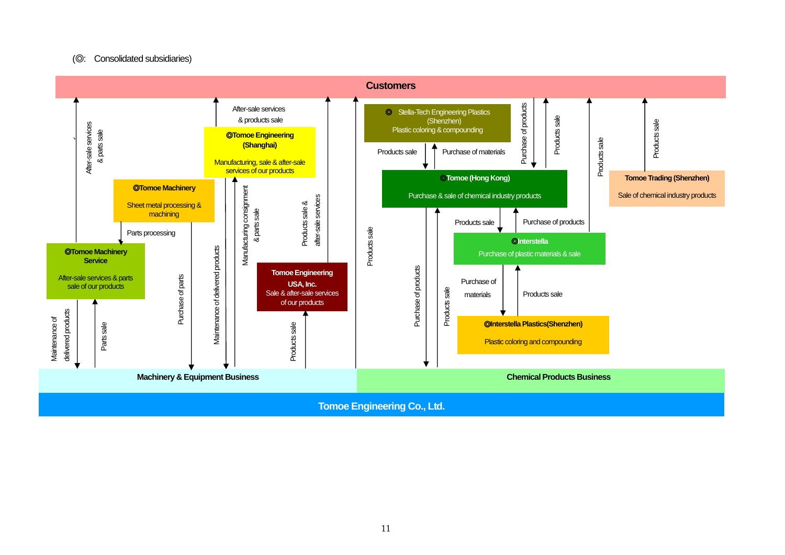#### (◎: Consolidated subsidiaries)

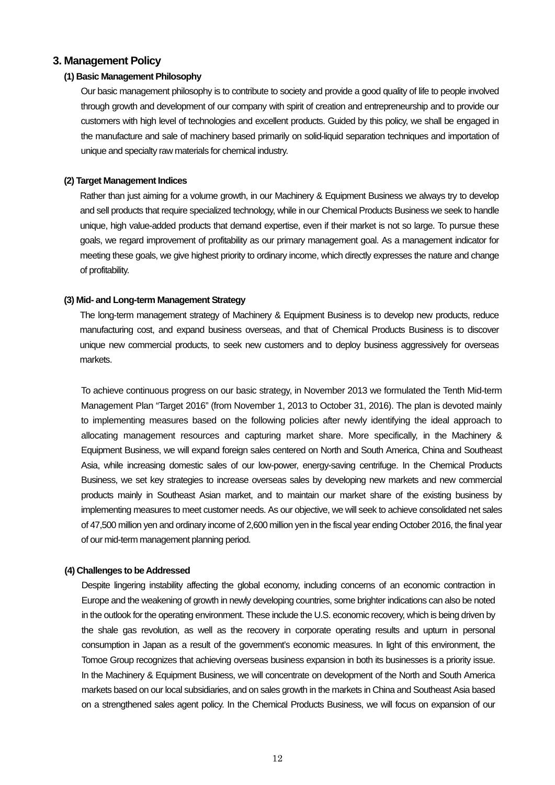## **3. Management Policy**

#### **(1) Basic Management Philosophy**

Our basic management philosophy is to contribute to society and provide a good quality of life to people involved through growth and development of our company with spirit of creation and entrepreneurship and to provide our customers with high level of technologies and excellent products. Guided by this policy, we shall be engaged in the manufacture and sale of machinery based primarily on solid-liquid separation techniques and importation of unique and specialty raw materials for chemical industry.

## **(2) Target Management Indices**

Rather than just aiming for a volume growth, in our Machinery & Equipment Business we always try to develop and sell products that require specialized technology, while in our Chemical Products Business we seek to handle unique, high value-added products that demand expertise, even if their market is not so large. To pursue these goals, we regard improvement of profitability as our primary management goal. As a management indicator for meeting these goals, we give highest priority to ordinary income, which directly expresses the nature and change of profitability.

#### **(3) Mid- and Long-term Management Strategy**

The long-term management strategy of Machinery & Equipment Business is to develop new products, reduce manufacturing cost, and expand business overseas, and that of Chemical Products Business is to discover unique new commercial products, to seek new customers and to deploy business aggressively for overseas markets.

To achieve continuous progress on our basic strategy, in November 2013 we formulated the Tenth Mid-term Management Plan "Target 2016" (from November 1, 2013 to October 31, 2016). The plan is devoted mainly to implementing measures based on the following policies after newly identifying the ideal approach to allocating management resources and capturing market share. More specifically, in the Machinery & Equipment Business, we will expand foreign sales centered on North and South America, China and Southeast Asia, while increasing domestic sales of our low-power, energy-saving centrifuge. In the Chemical Products Business, we set key strategies to increase overseas sales by developing new markets and new commercial products mainly in Southeast Asian market, and to maintain our market share of the existing business by implementing measures to meet customer needs. As our objective, we will seek to achieve consolidated net sales of 47,500 million yen and ordinary income of 2,600 million yen in the fiscal year ending October 2016, the final year of our mid-term management planning period.

#### **(4) Challenges to be Addressed**

Despite lingering instability affecting the global economy, including concerns of an economic contraction in Europe and the weakening of growth in newly developing countries, some brighter indications can also be noted in the outlook for the operating environment. These include the U.S. economic recovery, which is being driven by the shale gas revolution, as well as the recovery in corporate operating results and upturn in personal consumption in Japan as a result of the government's economic measures. In light of this environment, the Tomoe Group recognizes that achieving overseas business expansion in both its businesses is a priority issue. In the Machinery & Equipment Business, we will concentrate on development of the North and South America markets based on our local subsidiaries, and on sales growth in the markets in China and Southeast Asia based on a strengthened sales agent policy. In the Chemical Products Business, we will focus on expansion of our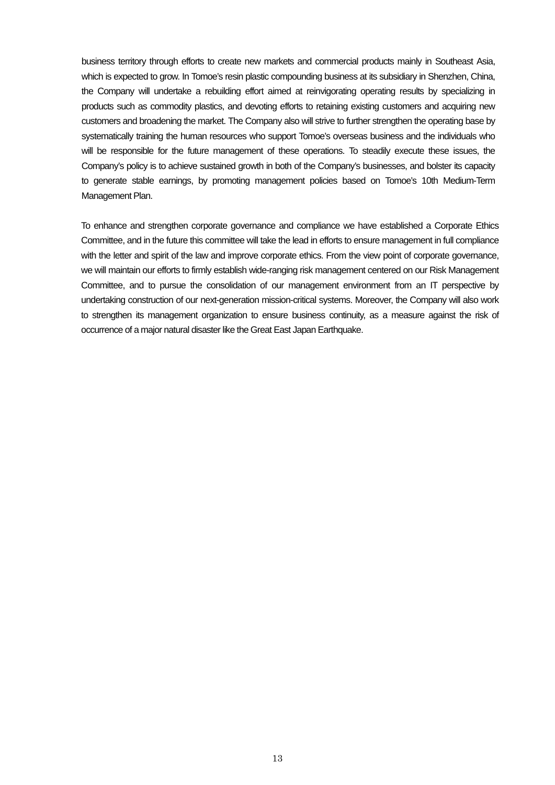business territory through efforts to create new markets and commercial products mainly in Southeast Asia, which is expected to grow. In Tomoe's resin plastic compounding business at its subsidiary in Shenzhen, China, the Company will undertake a rebuilding effort aimed at reinvigorating operating results by specializing in products such as commodity plastics, and devoting efforts to retaining existing customers and acquiring new customers and broadening the market. The Company also will strive to further strengthen the operating base by systematically training the human resources who support Tomoe's overseas business and the individuals who will be responsible for the future management of these operations. To steadily execute these issues, the Company's policy is to achieve sustained growth in both of the Company's businesses, and bolster its capacity to generate stable earnings, by promoting management policies based on Tomoe's 10th Medium-Term Management Plan.

To enhance and strengthen corporate governance and compliance we have established a Corporate Ethics Committee, and in the future this committee will take the lead in efforts to ensure management in full compliance with the letter and spirit of the law and improve corporate ethics. From the view point of corporate governance, we will maintain our efforts to firmly establish wide-ranging risk management centered on our Risk Management Committee, and to pursue the consolidation of our management environment from an IT perspective by undertaking construction of our next-generation mission-critical systems. Moreover, the Company will also work to strengthen its management organization to ensure business continuity, as a measure against the risk of occurrence of a major natural disaster like the Great East Japan Earthquake.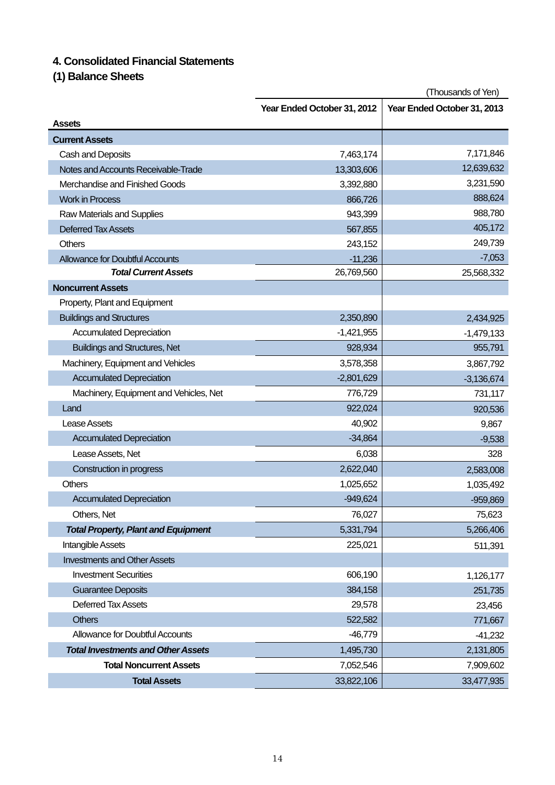## **4. Consolidated Financial Statements**

**(1) Balance Sheets** 

|                                            | (Thousands of Yen)                                         |              |  |
|--------------------------------------------|------------------------------------------------------------|--------------|--|
|                                            | Year Ended October 31, 2012<br>Year Ended October 31, 2013 |              |  |
| <b>Assets</b>                              |                                                            |              |  |
| <b>Current Assets</b>                      |                                                            |              |  |
| Cash and Deposits                          | 7,463,174                                                  | 7,171,846    |  |
| Notes and Accounts Receivable-Trade        | 13,303,606                                                 | 12,639,632   |  |
| Merchandise and Finished Goods             | 3,392,880                                                  | 3,231,590    |  |
| <b>Work in Process</b>                     | 866,726                                                    | 888,624      |  |
| Raw Materials and Supplies                 | 943,399                                                    | 988,780      |  |
| <b>Deferred Tax Assets</b>                 | 567,855                                                    | 405,172      |  |
| <b>Others</b>                              | 243,152                                                    | 249,739      |  |
| <b>Allowance for Doubtful Accounts</b>     | $-11,236$                                                  | $-7,053$     |  |
| <b>Total Current Assets</b>                | 26,769,560                                                 | 25,568,332   |  |
| <b>Noncurrent Assets</b>                   |                                                            |              |  |
| Property, Plant and Equipment              |                                                            |              |  |
| <b>Buildings and Structures</b>            | 2,350,890                                                  | 2,434,925    |  |
| <b>Accumulated Depreciation</b>            | $-1,421,955$                                               | $-1,479,133$ |  |
| <b>Buildings and Structures, Net</b>       | 928,934                                                    | 955,791      |  |
| Machinery, Equipment and Vehicles          | 3,578,358                                                  | 3,867,792    |  |
| <b>Accumulated Depreciation</b>            | $-2,801,629$                                               | $-3,136,674$ |  |
| Machinery, Equipment and Vehicles, Net     | 776,729                                                    | 731,117      |  |
| Land                                       | 922,024                                                    | 920,536      |  |
| Lease Assets                               | 40,902                                                     | 9,867        |  |
| <b>Accumulated Depreciation</b>            | $-34,864$                                                  | $-9,538$     |  |
| Lease Assets, Net                          | 6,038                                                      | 328          |  |
| Construction in progress                   | 2,622,040                                                  | 2,583,008    |  |
| Others                                     | 1,025,652                                                  | 1,035,492    |  |
| <b>Accumulated Depreciation</b>            | $-949,624$                                                 | $-959,869$   |  |
| Others, Net                                | 76,027                                                     | 75,623       |  |
| <b>Total Property, Plant and Equipment</b> | 5,331,794                                                  | 5,266,406    |  |
| Intangible Assets                          | 225,021                                                    | 511,391      |  |
| <b>Investments and Other Assets</b>        |                                                            |              |  |
| <b>Investment Securities</b>               | 606,190                                                    | 1,126,177    |  |
| <b>Guarantee Deposits</b>                  | 384,158                                                    | 251,735      |  |
| <b>Deferred Tax Assets</b>                 | 29,578                                                     | 23,456       |  |
| <b>Others</b>                              | 522,582                                                    | 771,667      |  |
| <b>Allowance for Doubtful Accounts</b>     | $-46,779$                                                  | $-41,232$    |  |
| <b>Total Investments and Other Assets</b>  | 1,495,730                                                  | 2,131,805    |  |
| <b>Total Noncurrent Assets</b>             | 7,052,546                                                  | 7,909,602    |  |
| <b>Total Assets</b>                        | 33,822,106                                                 | 33,477,935   |  |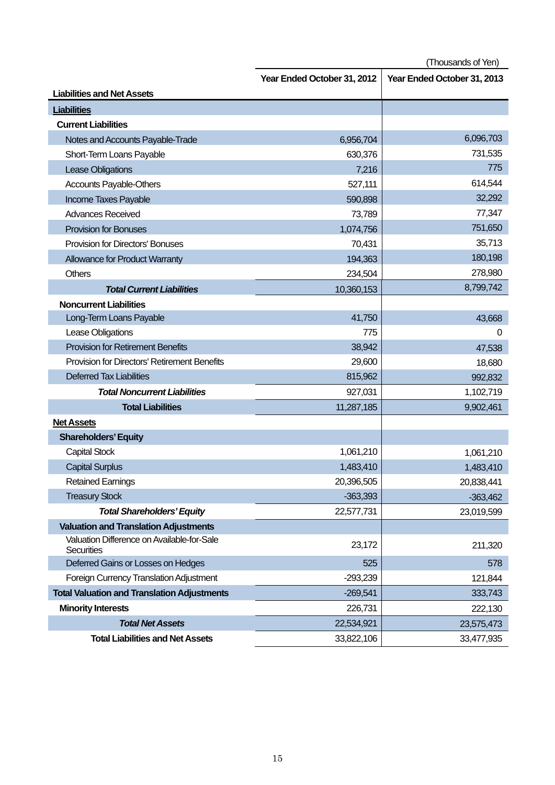|                                                                 | Year Ended October 31, 2012 | Year Ended October 31, 2013 |
|-----------------------------------------------------------------|-----------------------------|-----------------------------|
| <b>Liabilities and Net Assets</b>                               |                             |                             |
| <b>Liabilities</b>                                              |                             |                             |
| <b>Current Liabilities</b>                                      |                             |                             |
| Notes and Accounts Payable-Trade                                | 6,956,704                   | 6,096,703                   |
| Short-Term Loans Payable                                        | 630,376                     | 731,535                     |
| Lease Obligations                                               | 7,216                       | 775                         |
| <b>Accounts Payable-Others</b>                                  | 527,111                     | 614,544                     |
| Income Taxes Payable                                            | 590,898                     | 32,292                      |
| <b>Advances Received</b>                                        | 73,789                      | 77,347                      |
| <b>Provision for Bonuses</b>                                    | 1,074,756                   | 751,650                     |
| <b>Provision for Directors' Bonuses</b>                         | 70,431                      | 35,713                      |
| <b>Allowance for Product Warranty</b>                           | 194,363                     | 180,198                     |
| <b>Others</b>                                                   | 234,504                     | 278,980                     |
| <b>Total Current Liabilities</b>                                | 10,360,153                  | 8,799,742                   |
| <b>Noncurrent Liabilities</b>                                   |                             |                             |
| Long-Term Loans Payable                                         | 41,750                      | 43,668                      |
| Lease Obligations                                               | 775                         | 0                           |
| <b>Provision for Retirement Benefits</b>                        | 38,942                      | 47,538                      |
| <b>Provision for Directors' Retirement Benefits</b>             | 29,600                      | 18,680                      |
| <b>Deferred Tax Liabilities</b>                                 | 815,962                     | 992,832                     |
| <b>Total Noncurrent Liabilities</b>                             | 927,031                     | 1,102,719                   |
| <b>Total Liabilities</b>                                        | 11,287,185                  | 9,902,461                   |
| <b>Net Assets</b>                                               |                             |                             |
| <b>Shareholders' Equity</b>                                     |                             |                             |
| <b>Capital Stock</b>                                            | 1,061,210                   | 1,061,210                   |
| <b>Capital Surplus</b>                                          | 1,483,410                   | 1,483,410                   |
| <b>Retained Earnings</b>                                        | 20,396,505                  | 20,838,441                  |
| <b>Treasury Stock</b>                                           | $-363,393$                  | $-363,462$                  |
| <b>Total Shareholders' Equity</b>                               | 22,577,731                  | 23,019,599                  |
| <b>Valuation and Translation Adjustments</b>                    |                             |                             |
| Valuation Difference on Available-for-Sale<br><b>Securities</b> | 23,172                      | 211,320                     |
| Deferred Gains or Losses on Hedges                              | 525                         | 578                         |
| <b>Foreign Currency Translation Adjustment</b>                  | $-293,239$                  | 121,844                     |
| <b>Total Valuation and Translation Adjustments</b>              | $-269,541$                  | 333,743                     |
| <b>Minority Interests</b>                                       | 226,731                     | 222,130                     |
| <b>Total Net Assets</b>                                         | 22,534,921                  | 23,575,473                  |
| <b>Total Liabilities and Net Assets</b>                         | 33,822,106                  | 33,477,935                  |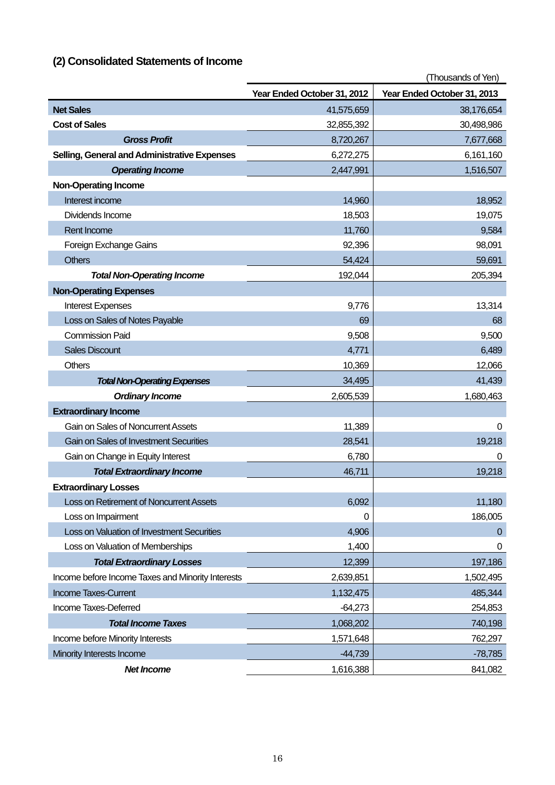# **(2) Consolidated Statements of Income**

|                                                   | (Thousands of Yen)          |                             |  |
|---------------------------------------------------|-----------------------------|-----------------------------|--|
|                                                   | Year Ended October 31, 2012 | Year Ended October 31, 2013 |  |
| <b>Net Sales</b>                                  | 41,575,659                  | 38,176,654                  |  |
| <b>Cost of Sales</b>                              | 32,855,392                  | 30,498,986                  |  |
| <b>Gross Profit</b>                               | 8,720,267                   | 7,677,668                   |  |
| Selling, General and Administrative Expenses      | 6,272,275                   | 6,161,160                   |  |
| <b>Operating Income</b>                           | 2,447,991                   | 1,516,507                   |  |
| <b>Non-Operating Income</b>                       |                             |                             |  |
| Interest income                                   | 14,960                      | 18,952                      |  |
| Dividends Income                                  | 18,503                      | 19,075                      |  |
| Rent Income                                       | 11,760                      | 9,584                       |  |
| Foreign Exchange Gains                            | 92,396                      | 98,091                      |  |
| <b>Others</b>                                     | 54,424                      | 59,691                      |  |
| <b>Total Non-Operating Income</b>                 | 192,044                     | 205,394                     |  |
| <b>Non-Operating Expenses</b>                     |                             |                             |  |
| <b>Interest Expenses</b>                          | 9,776                       | 13,314                      |  |
| Loss on Sales of Notes Payable                    | 69                          | 68                          |  |
| <b>Commission Paid</b>                            | 9,508                       | 9,500                       |  |
| <b>Sales Discount</b>                             | 4,771                       | 6,489                       |  |
| <b>Others</b>                                     | 10,369                      | 12,066                      |  |
| <b>Total Non-Operating Expenses</b>               | 34,495                      | 41,439                      |  |
| <b>Ordinary Income</b>                            | 2,605,539                   | 1,680,463                   |  |
| <b>Extraordinary Income</b>                       |                             |                             |  |
| Gain on Sales of Noncurrent Assets                | 11,389                      | $\Omega$                    |  |
| Gain on Sales of Investment Securities            | 28,541                      | 19,218                      |  |
| Gain on Change in Equity Interest                 | 6,780                       | 0                           |  |
| <b>Total Extraordinary Income</b>                 | 46,711                      | 19,218                      |  |
| <b>Extraordinary Losses</b>                       |                             |                             |  |
| Loss on Retirement of Noncurrent Assets           | 6,092                       | 11,180                      |  |
| Loss on Impairment                                | 0                           | 186,005                     |  |
| Loss on Valuation of Investment Securities        | 4,906                       | 0                           |  |
| Loss on Valuation of Memberships                  | 1,400                       | 0                           |  |
| <b>Total Extraordinary Losses</b>                 | 12,399                      | 197,186                     |  |
| Income before Income Taxes and Minority Interests | 2,639,851                   | 1,502,495                   |  |
| <b>Income Taxes-Current</b>                       | 1,132,475                   | 485,344                     |  |
| Income Taxes-Deferred                             | $-64,273$                   | 254,853                     |  |
| <b>Total Income Taxes</b>                         | 1,068,202                   | 740,198                     |  |
| Income before Minority Interests                  | 1,571,648                   | 762,297                     |  |
| Minority Interests Income                         | $-44,739$                   | $-78,785$                   |  |
| <b>Net Income</b>                                 | 1,616,388                   | 841,082                     |  |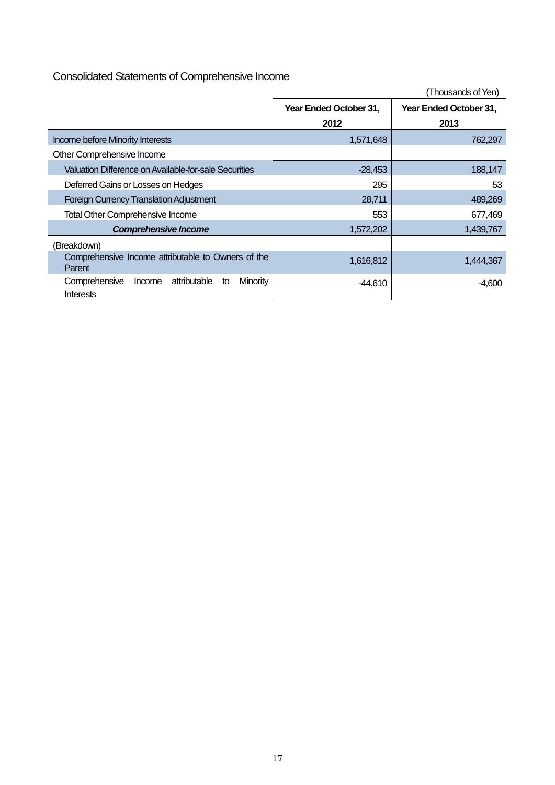# Consolidated Statements of Comprehensive Income

|                                                                        |                        | (Thousands of Yen)     |
|------------------------------------------------------------------------|------------------------|------------------------|
|                                                                        | Year Ended October 31, | Year Ended October 31, |
|                                                                        | 2012                   | 2013                   |
| Income before Minority Interests                                       | 1,571,648              | 762,297                |
| Other Comprehensive Income                                             |                        |                        |
| Valuation Difference on Available-for-sale Securities                  | $-28,453$              | 188,147                |
| Deferred Gains or Losses on Hedges                                     | 295                    | 53                     |
| <b>Foreign Currency Translation Adjustment</b>                         | 28,711                 | 489,269                |
| Total Other Comprehensive Income                                       | 553                    | 677,469                |
| <b>Comprehensive Income</b>                                            | 1,572,202              | 1,439,767              |
| (Breakdown)                                                            |                        |                        |
| Comprehensive Income attributable to Owners of the<br>Parent           | 1,616,812              | 1,444,367              |
| attributable<br>Minority<br>Comprehensive<br>Income<br>to<br>Interests | $-44,610$              | $-4,600$               |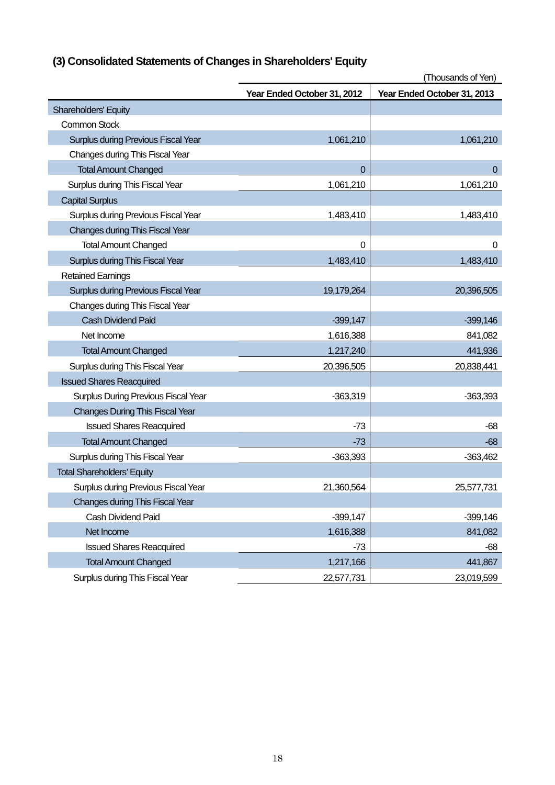|  | (3) Consolidated Statements of Changes in Shareholders' Equity |  |  |
|--|----------------------------------------------------------------|--|--|
|  |                                                                |  |  |

|                                            | Year Ended October 31, 2012 | Year Ended October 31, 2013 |
|--------------------------------------------|-----------------------------|-----------------------------|
| Shareholders' Equity                       |                             |                             |
| <b>Common Stock</b>                        |                             |                             |
| <b>Surplus during Previous Fiscal Year</b> | 1,061,210                   | 1,061,210                   |
| Changes during This Fiscal Year            |                             |                             |
| <b>Total Amount Changed</b>                | 0                           | $\mathbf{0}$                |
| Surplus during This Fiscal Year            | 1,061,210                   | 1,061,210                   |
| <b>Capital Surplus</b>                     |                             |                             |
| Surplus during Previous Fiscal Year        | 1,483,410                   | 1,483,410                   |
| <b>Changes during This Fiscal Year</b>     |                             |                             |
| <b>Total Amount Changed</b>                | 0                           | 0                           |
| Surplus during This Fiscal Year            | 1,483,410                   | 1,483,410                   |
| <b>Retained Earnings</b>                   |                             |                             |
| <b>Surplus during Previous Fiscal Year</b> | 19,179,264                  | 20,396,505                  |
| Changes during This Fiscal Year            |                             |                             |
| <b>Cash Dividend Paid</b>                  | $-399,147$                  | $-399,146$                  |
| Net Income                                 | 1,616,388                   | 841,082                     |
| <b>Total Amount Changed</b>                | 1,217,240                   | 441,936                     |
| Surplus during This Fiscal Year            | 20,396,505                  | 20,838,441                  |
| <b>Issued Shares Reacquired</b>            |                             |                             |
| Surplus During Previous Fiscal Year        | $-363,319$                  | $-363,393$                  |
| <b>Changes During This Fiscal Year</b>     |                             |                             |
| <b>Issued Shares Reacquired</b>            | $-73$                       | -68                         |
| <b>Total Amount Changed</b>                | $-73$                       | -68                         |
| Surplus during This Fiscal Year            | $-363,393$                  | $-363,462$                  |
| <b>Total Shareholders' Equity</b>          |                             |                             |
| Surplus during Previous Fiscal Year        | 21,360,564                  | 25,577,731                  |
| <b>Changes during This Fiscal Year</b>     |                             |                             |
| <b>Cash Dividend Paid</b>                  | $-399,147$                  | $-399,146$                  |
| Net Income                                 | 1,616,388                   | 841,082                     |
| <b>Issued Shares Reacquired</b>            | $-73$                       | $-68$                       |
| <b>Total Amount Changed</b>                | 1,217,166                   | 441,867                     |
| Surplus during This Fiscal Year            | 22,577,731                  | 23,019,599                  |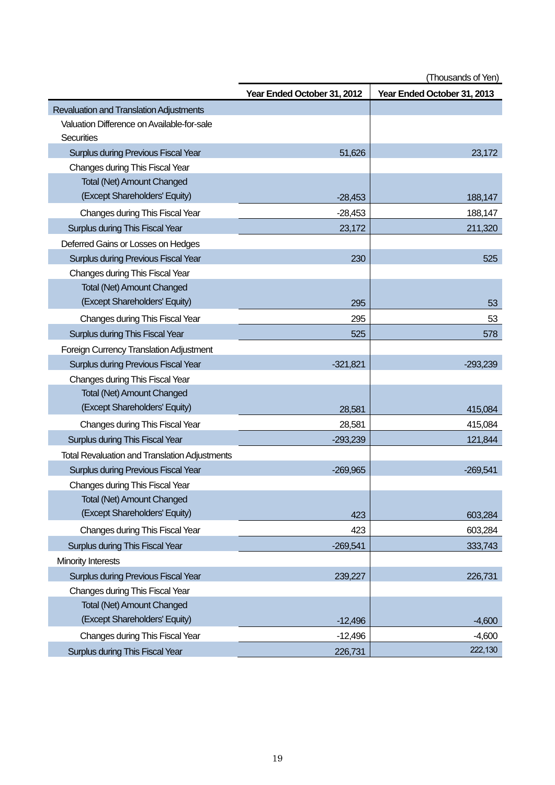|                                                      | Year Ended October 31, 2012 | Year Ended October 31, 2013 |
|------------------------------------------------------|-----------------------------|-----------------------------|
| Revaluation and Translation Adjustments              |                             |                             |
| Valuation Difference on Available-for-sale           |                             |                             |
| Securities                                           |                             |                             |
| <b>Surplus during Previous Fiscal Year</b>           | 51,626                      | 23,172                      |
| Changes during This Fiscal Year                      |                             |                             |
| <b>Total (Net) Amount Changed</b>                    |                             |                             |
| (Except Shareholders' Equity)                        | $-28,453$                   | 188,147                     |
| Changes during This Fiscal Year                      | $-28,453$                   | 188,147                     |
| Surplus during This Fiscal Year                      | 23,172                      | 211,320                     |
| Deferred Gains or Losses on Hedges                   |                             |                             |
| Surplus during Previous Fiscal Year                  | 230                         | 525                         |
| Changes during This Fiscal Year                      |                             |                             |
| <b>Total (Net) Amount Changed</b>                    |                             |                             |
| (Except Shareholders' Equity)                        | 295                         | 53                          |
| Changes during This Fiscal Year                      | 295                         | 53                          |
| Surplus during This Fiscal Year                      | 525                         | 578                         |
| Foreign Currency Translation Adjustment              |                             |                             |
| <b>Surplus during Previous Fiscal Year</b>           | $-321,821$                  | $-293,239$                  |
| Changes during This Fiscal Year                      |                             |                             |
| <b>Total (Net) Amount Changed</b>                    |                             |                             |
| (Except Shareholders' Equity)                        | 28,581                      | 415,084                     |
| Changes during This Fiscal Year                      | 28,581                      | 415,084                     |
| Surplus during This Fiscal Year                      | $-293,239$                  | 121,844                     |
| <b>Total Revaluation and Translation Adjustments</b> |                             |                             |
| <b>Surplus during Previous Fiscal Year</b>           | $-269,965$                  | $-269,541$                  |
| Changes during This Fiscal Year                      |                             |                             |
| <b>Total (Net) Amount Changed</b>                    |                             |                             |
| (Except Shareholders' Equity)                        | 423                         | 603,284                     |
| Changes during This Fiscal Year                      | 423                         | 603,284                     |
| Surplus during This Fiscal Year                      | $-269,541$                  | 333,743                     |
| Minority Interests                                   |                             |                             |
| Surplus during Previous Fiscal Year                  | 239,227                     | 226,731                     |
| Changes during This Fiscal Year                      |                             |                             |
| <b>Total (Net) Amount Changed</b>                    |                             |                             |
| (Except Shareholders' Equity)                        | $-12,496$                   | $-4,600$                    |
| Changes during This Fiscal Year                      | $-12,496$                   | $-4,600$                    |
| Surplus during This Fiscal Year                      | 226,731                     | 222,130                     |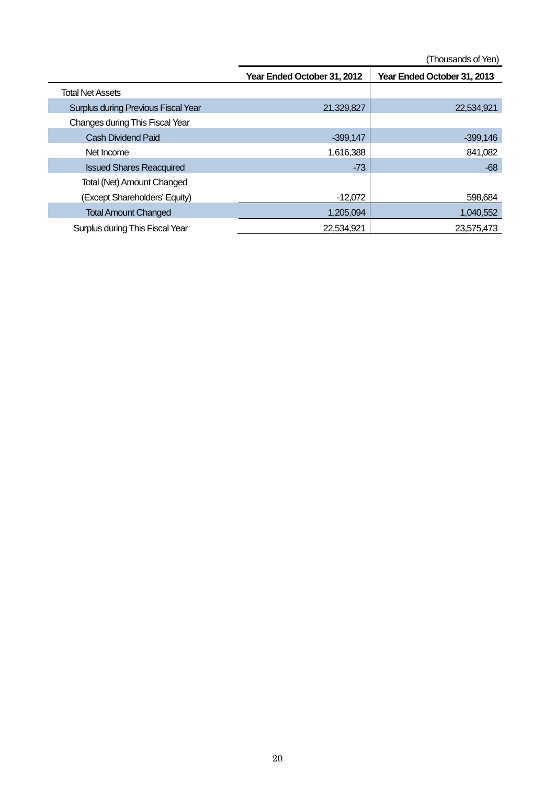|                                            | Year Ended October 31, 2012 | Year Ended October 31, 2013 |
|--------------------------------------------|-----------------------------|-----------------------------|
| <b>Total Net Assets</b>                    |                             |                             |
| <b>Surplus during Previous Fiscal Year</b> | 21,329,827                  | 22,534,921                  |
| Changes during This Fiscal Year            |                             |                             |
| <b>Cash Dividend Paid</b>                  | $-399.147$                  | $-399,146$                  |
| Net Income                                 | 1,616,388                   | 841,082                     |
| <b>Issued Shares Reacquired</b>            | $-73$                       | $-68$                       |
| Total (Net) Amount Changed                 |                             |                             |
| (Except Shareholders' Equity)              | $-12,072$                   | 598,684                     |
| <b>Total Amount Changed</b>                | 1,205,094                   | 1,040,552                   |
| Surplus during This Fiscal Year            | 22,534,921                  | 23,575,473                  |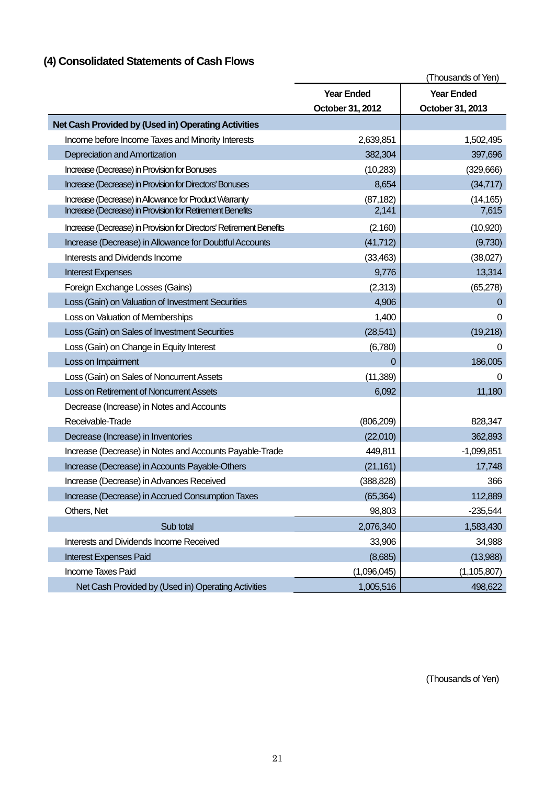# **(4) Consolidated Statements of Cash Flows**

|                                                                     |                   | (Thousands of Yen) |
|---------------------------------------------------------------------|-------------------|--------------------|
|                                                                     | <b>Year Ended</b> | <b>Year Ended</b>  |
|                                                                     | October 31, 2012  | October 31, 2013   |
| Net Cash Provided by (Used in) Operating Activities                 |                   |                    |
| Income before Income Taxes and Minority Interests                   | 2,639,851         | 1,502,495          |
| Depreciation and Amortization                                       | 382,304           | 397,696            |
| Increase (Decrease) in Provision for Bonuses                        | (10, 283)         | (329,666)          |
| Increase (Decrease) in Provision for Directors' Bonuses             | 8,654             | (34, 717)          |
| Increase (Decrease) in Allowance for Product Warranty               | (87, 182)         | (14, 165)          |
| Increase (Decrease) in Provision for Retirement Benefits            | 2,141             | 7,615              |
| Increase (Decrease) in Provision for Directors' Retirement Benefits | (2,160)           | (10, 920)          |
| Increase (Decrease) in Allowance for Doubtful Accounts              | (41, 712)         | (9,730)            |
| Interests and Dividends Income                                      | (33, 463)         | (38,027)           |
| <b>Interest Expenses</b>                                            | 9,776             | 13,314             |
| Foreign Exchange Losses (Gains)                                     | (2,313)           | (65, 278)          |
| Loss (Gain) on Valuation of Investment Securities                   | 4,906             | $\Omega$           |
| Loss on Valuation of Memberships                                    | 1,400             | 0                  |
| Loss (Gain) on Sales of Investment Securities                       | (28, 541)         | (19,218)           |
| Loss (Gain) on Change in Equity Interest                            | (6,780)           | 0                  |
| Loss on Impairment                                                  | $\mathbf 0$       | 186,005            |
| Loss (Gain) on Sales of Noncurrent Assets                           | (11, 389)         | 0                  |
| Loss on Retirement of Noncurrent Assets                             | 6,092             | 11,180             |
| Decrease (Increase) in Notes and Accounts                           |                   |                    |
| Receivable-Trade                                                    | (806, 209)        | 828,347            |
| Decrease (Increase) in Inventories                                  | (22,010)          | 362,893            |
| Increase (Decrease) in Notes and Accounts Payable-Trade             | 449,811           | $-1,099,851$       |
| Increase (Decrease) in Accounts Payable-Others                      | (21, 161)         | 17,748             |
| Increase (Decrease) in Advances Received                            | (388, 828)        | 366                |
| Increase (Decrease) in Accrued Consumption Taxes                    | (65, 364)         | 112,889            |
| Others, Net                                                         | 98,803            | $-235,544$         |
| Sub total                                                           | 2,076,340         | 1,583,430          |
| Interests and Dividends Income Received                             | 33,906            | 34,988             |
| <b>Interest Expenses Paid</b>                                       | (8,685)           | (13,988)           |
| Income Taxes Paid                                                   | (1,096,045)       | (1, 105, 807)      |
| Net Cash Provided by (Used in) Operating Activities                 | 1,005,516         | 498,622            |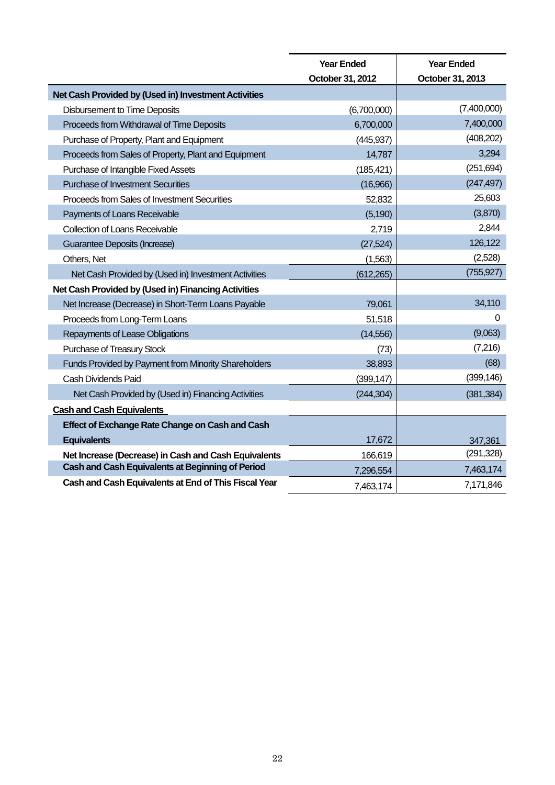|                                                      | <b>Year Ended</b> | <b>Year Ended</b> |
|------------------------------------------------------|-------------------|-------------------|
|                                                      | October 31, 2012  | October 31, 2013  |
| Net Cash Provided by (Used in) Investment Activities |                   |                   |
| <b>Disbursement to Time Deposits</b>                 | (6,700,000)       | (7,400,000)       |
| Proceeds from Withdrawal of Time Deposits            | 6,700,000         | 7,400,000         |
| Purchase of Property, Plant and Equipment            | (445, 937)        | (408, 202)        |
| Proceeds from Sales of Property, Plant and Equipment | 14,787            | 3,294             |
| Purchase of Intangible Fixed Assets                  | (185, 421)        | (251, 694)        |
| <b>Purchase of Investment Securities</b>             | (16,966)          | (247, 497)        |
| Proceeds from Sales of Investment Securities         | 52,832            | 25,603            |
| Payments of Loans Receivable                         | (5, 190)          | (3,870)           |
| <b>Collection of Loans Receivable</b>                | 2,719             | 2,844             |
| Guarantee Deposits (Increase)                        | (27, 524)         | 126,122           |
| Others, Net                                          | (1, 563)          | (2,528)           |
| Net Cash Provided by (Used in) Investment Activities | (612, 265)        | (755, 927)        |
| Net Cash Provided by (Used in) Financing Activities  |                   |                   |
| Net Increase (Decrease) in Short-Term Loans Payable  | 79,061            | 34,110            |
| Proceeds from Long-Term Loans                        | 51,518            | 0                 |
| Repayments of Lease Obligations                      | (14, 556)         | (9,063)           |
| Purchase of Treasury Stock                           | (73)              | (7,216)           |
| Funds Provided by Payment from Minority Shareholders | 38,893            | (68)              |
| Cash Dividends Paid                                  | (399, 147)        | (399, 146)        |
| Net Cash Provided by (Used in) Financing Activities  | (244, 304)        | (381, 384)        |
| <b>Cash and Cash Equivalents</b>                     |                   |                   |
| Effect of Exchange Rate Change on Cash and Cash      |                   |                   |
| <b>Equivalents</b>                                   | 17,672            | 347,361           |
| Net Increase (Decrease) in Cash and Cash Equivalents | 166,619           | (291, 328)        |
| Cash and Cash Equivalents at Beginning of Period     | 7,296,554         | 7,463,174         |
| Cash and Cash Equivalents at End of This Fiscal Year | 7,463,174         | 7,171,846         |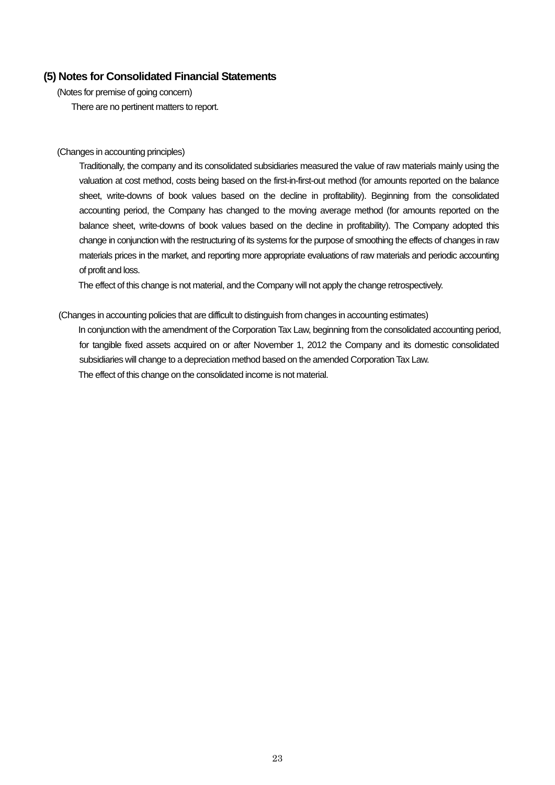## **(5) Notes for Consolidated Financial Statements**

(Notes for premise of going concern) There are no pertinent matters to report.

#### (Changes in accounting principles)

Traditionally, the company and its consolidated subsidiaries measured the value of raw materials mainly using the valuation at cost method, costs being based on the first-in-first-out method (for amounts reported on the balance sheet, write-downs of book values based on the decline in profitability). Beginning from the consolidated accounting period, the Company has changed to the moving average method (for amounts reported on the balance sheet, write-downs of book values based on the decline in profitability). The Company adopted this change in conjunction with the restructuring of its systems for the purpose of smoothing the effects of changes in raw materials prices in the market, and reporting more appropriate evaluations of raw materials and periodic accounting of profit and loss.

The effect of this change is not material, and the Company will not apply the change retrospectively.

#### (Changes in accounting policies that are difficult to distinguish from changes in accounting estimates)

In conjunction with the amendment of the Corporation Tax Law, beginning from the consolidated accounting period, for tangible fixed assets acquired on or after November 1, 2012 the Company and its domestic consolidated subsidiaries will change to a depreciation method based on the amended Corporation Tax Law. The effect of this change on the consolidated income is not material.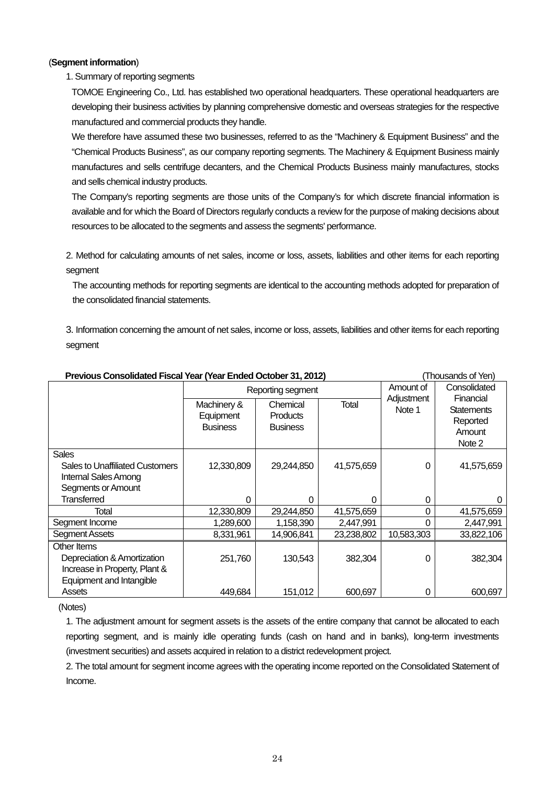## (**Segment information**)

## 1. Summary of reporting segments

TOMOE Engineering Co., Ltd. has established two operational headquarters. These operational headquarters are developing their business activities by planning comprehensive domestic and overseas strategies for the respective manufactured and commercial products they handle.

We therefore have assumed these two businesses, referred to as the "Machinery & Equipment Business" and the "Chemical Products Business", as our company reporting segments. The Machinery & Equipment Business mainly manufactures and sells centrifuge decanters, and the Chemical Products Business mainly manufactures, stocks and sells chemical industry products.

The Company's reporting segments are those units of the Company's for which discrete financial information is available and for which the Board of Directors regularly conducts a review for the purpose of making decisions about resources to be allocated to the segments and assess the segments' performance.

2. Method for calculating amounts of net sales, income or loss, assets, liabilities and other items for each reporting segment

The accounting methods for reporting segments are identical to the accounting methods adopted for preparation of the consolidated financial statements.

3. Information concerning the amount of net sales, income or loss, assets, liabilities and other items for each reporting segment

| Previous Consolidated Fiscal Year (Year Ended October 31, 2012)                                                    |                                             |                                                |            |                      | I housands of Yen)                                             |
|--------------------------------------------------------------------------------------------------------------------|---------------------------------------------|------------------------------------------------|------------|----------------------|----------------------------------------------------------------|
|                                                                                                                    |                                             | Reporting segment                              | Amount of  | Consolidated         |                                                                |
|                                                                                                                    | Machinery &<br>Equipment<br><b>Business</b> | Chemical<br><b>Products</b><br><b>Business</b> | Total      | Adjustment<br>Note 1 | Financial<br><b>Statements</b><br>Reported<br>Amount<br>Note 2 |
| <b>Sales</b><br><b>Sales to Unaffiliated Customers</b><br><b>Internal Sales Among</b><br><b>Segments or Amount</b> | 12,330,809                                  | 29,244,850                                     | 41,575,659 | $\Omega$             | 41,575,659                                                     |
| Transferred                                                                                                        | 0                                           | 0                                              | O          | 0                    |                                                                |
| Total                                                                                                              | 12,330,809                                  | 29,244,850                                     | 41,575,659 | 0                    | 41,575,659                                                     |
| Segment Income                                                                                                     | 1,289,600                                   | 1,158,390                                      | 2,447,991  | 0                    | 2,447,991                                                      |
| Segment Assets                                                                                                     | 8,331,961                                   | 14,906,841                                     | 23,238,802 | 10,583,303           | 33,822,106                                                     |
| Other Items<br>Depreciation & Amortization<br>Increase in Property, Plant &<br>Equipment and Intangible            | 251,760                                     | 130,543                                        | 382,304    | 0                    | 382,304                                                        |
| Assets                                                                                                             | 449,684                                     | 151,012                                        | 600,697    | 0                    | 600,697                                                        |

## **Previous Consolidated Fiscal Year (Year Ended October 31, 2012)** (Thousands of Yen)

(Notes)

1. The adjustment amount for segment assets is the assets of the entire company that cannot be allocated to each reporting segment, and is mainly idle operating funds (cash on hand and in banks), long-term investments (investment securities) and assets acquired in relation to a district redevelopment project.

2. The total amount for segment income agrees with the operating income reported on the Consolidated Statement of Income.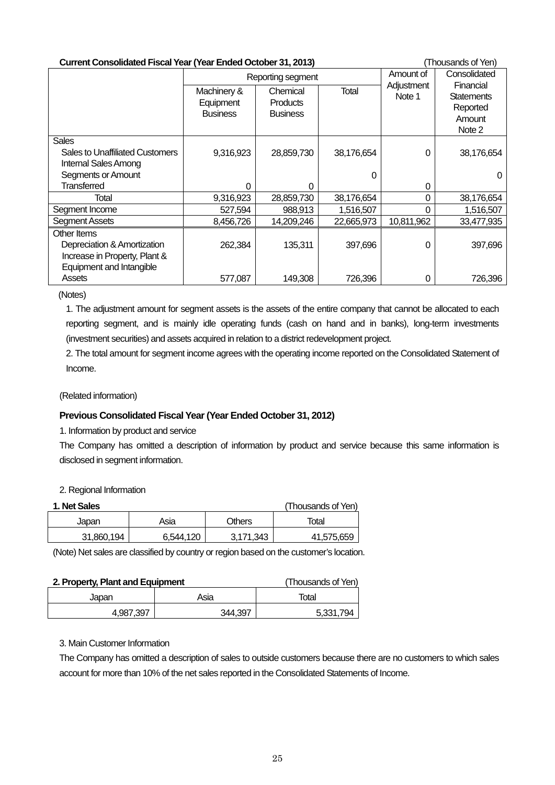| <b>Current Consolidated Fiscal Year (Year Ended October 31, 2013)</b>                    |                                             |                                                |              |                      | (Thousands of Yen)                                             |
|------------------------------------------------------------------------------------------|---------------------------------------------|------------------------------------------------|--------------|----------------------|----------------------------------------------------------------|
|                                                                                          |                                             | Reporting segment                              | Amount of    | Consolidated         |                                                                |
|                                                                                          | Machinery &<br>Equipment<br><b>Business</b> | Chemical<br><b>Products</b><br><b>Business</b> | <b>Total</b> | Adjustment<br>Note 1 | Financial<br><b>Statements</b><br>Reported<br>Amount<br>Note 2 |
| <b>Sales</b><br>Sales to Unaffiliated Customers<br>Internal Sales Among                  | 9,316,923                                   | 28,859,730                                     | 38,176,654   | 0                    | 38,176,654                                                     |
| Segments or Amount                                                                       |                                             |                                                | 0            |                      |                                                                |
| <b>Transferred</b>                                                                       | 0                                           | 0                                              |              | 0                    |                                                                |
| Total                                                                                    | 9,316,923                                   | 28,859,730                                     | 38,176,654   | 0                    | 38,176,654                                                     |
| Segment Income                                                                           | 527,594                                     | 988,913                                        | 1,516,507    | 0                    | 1,516,507                                                      |
| Segment Assets                                                                           | 8,456,726                                   | 14,209,246                                     | 22,665,973   | 10,811,962           | 33,477,935                                                     |
| Other Items                                                                              |                                             |                                                |              |                      |                                                                |
| Depreciation & Amortization<br>Increase in Property, Plant &<br>Equipment and Intangible | 262,384                                     | 135,311                                        | 397,696      | 0                    | 397,696                                                        |
| Assets                                                                                   | 577,087                                     | 149,308                                        | 726,396      | 0                    | 726,396                                                        |

(Notes)

1. The adjustment amount for segment assets is the assets of the entire company that cannot be allocated to each reporting segment, and is mainly idle operating funds (cash on hand and in banks), long-term investments (investment securities) and assets acquired in relation to a district redevelopment project.

2. The total amount for segment income agrees with the operating income reported on the Consolidated Statement of Income.

(Related information)

## **Previous Consolidated Fiscal Year (Year Ended October 31, 2012)**

1. Information by product and service

The Company has omitted a description of information by product and service because this same information is disclosed in segment information.

#### 2. Regional Information

| 1. Net Sales |           |           | (Thousands of Yen) |
|--------------|-----------|-----------|--------------------|
| Japan        | Asia      | Others    | Total              |
| 31,860,194   | 6.544.120 | 3.171.343 | 41,575,659         |

(Note) Net sales are classified by country or region based on the customer's location.

| 2. Property, Plant and Equipment | (Thousands of Yen) |           |
|----------------------------------|--------------------|-----------|
| Japan                            | Asia               | Total     |
| 4,987,397                        | 344.397            | 5,331,794 |

## 3. Main Customer Information

The Company has omitted a description of sales to outside customers because there are no customers to which sales account for more than 10% of the net sales reported in the Consolidated Statements of Income.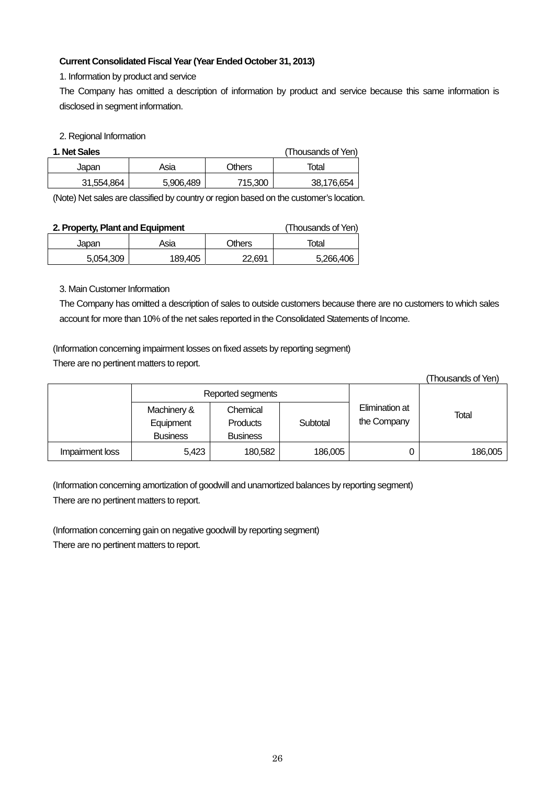## **Current Consolidated Fiscal Year (Year Ended October 31, 2013)**

1. Information by product and service

The Company has omitted a description of information by product and service because this same information is disclosed in segment information.

### 2. Regional Information

| 1. Net Sales |           |         | (Thousands of Yen) |
|--------------|-----------|---------|--------------------|
| Japan        | Asia      | Others  | Total              |
| 31,554,864   | 5,906,489 | 715,300 | 38,176,654         |

(Note) Net sales are classified by country or region based on the customer's location.

| 2. Property, Plant and Equipment |         |        | (Thousands of Yen) |
|----------------------------------|---------|--------|--------------------|
| Japan                            | Asia    | Others | Total              |
| 5.054.309                        | 189,405 | 22.691 | 5,266,406          |

### 3. Main Customer Information

The Company has omitted a description of sales to outside customers because there are no customers to which sales account for more than 10% of the net sales reported in the Consolidated Statements of Income.

(Information concerning impairment losses on fixed assets by reporting segment)

There are no pertinent matters to report.

|                 |                                             |                                                |          |                               | (Thousands of Yen) |  |
|-----------------|---------------------------------------------|------------------------------------------------|----------|-------------------------------|--------------------|--|
|                 | Reported segments                           |                                                |          |                               |                    |  |
|                 | Machinery &<br>Equipment<br><b>Business</b> | Chemical<br><b>Products</b><br><b>Business</b> | Subtotal | Elimination at<br>the Company | Total              |  |
| Impairment loss | 5,423                                       | 180,582                                        | 186,005  |                               | 186,005            |  |

(Information concerning amortization of goodwill and unamortized balances by reporting segment)

There are no pertinent matters to report.

(Information concerning gain on negative goodwill by reporting segment)

There are no pertinent matters to report.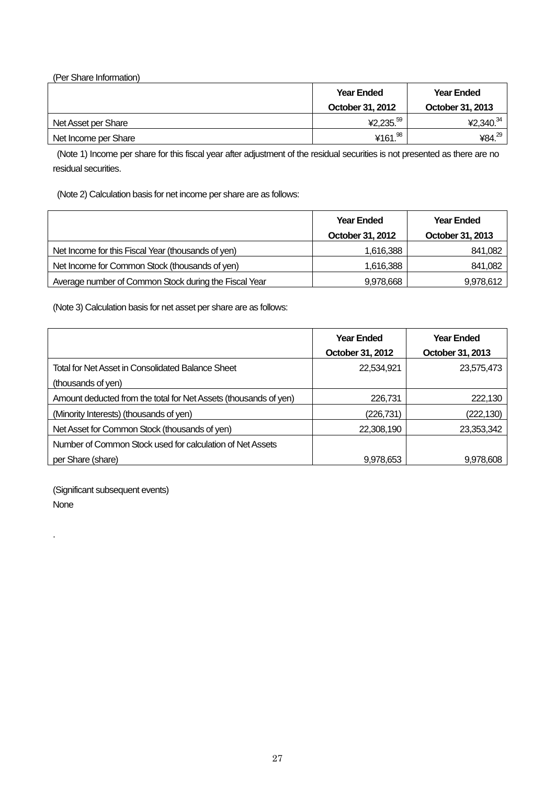| (Per Share Information) |                       |                    |
|-------------------------|-----------------------|--------------------|
|                         | <b>Year Ended</b>     | <b>Year Ended</b>  |
|                         | October 31, 2012      | October 31, 2013   |
| Net Asset per Share     | ¥2,235. <sup>59</sup> | ¥2,340. $34$       |
| Net Income per Share    | ¥161.98               | ¥84. <sup>29</sup> |

(Note 1) Income per share for this fiscal year after adjustment of the residual securities is not presented as there are no residual securities.

(Note 2) Calculation basis for net income per share are as follows:

|                                                       | <b>Year Ended</b> | <b>Year Ended</b> |
|-------------------------------------------------------|-------------------|-------------------|
|                                                       | October 31, 2012  | October 31, 2013  |
| Net Income for this Fiscal Year (thousands of yen)    | 1,616,388         | 841,082           |
| Net Income for Common Stock (thousands of yen)        | 1,616,388         | 841,082           |
| Average number of Common Stock during the Fiscal Year | 9,978,668         | 9,978,612         |

(Note 3) Calculation basis for net asset per share are as follows:

|                                                                  | <b>Year Ended</b> | <b>Year Ended</b> |
|------------------------------------------------------------------|-------------------|-------------------|
|                                                                  | October 31, 2012  | October 31, 2013  |
| Total for Net Asset in Consolidated Balance Sheet                | 22,534,921        | 23,575,473        |
| (thousands of yen)                                               |                   |                   |
| Amount deducted from the total for Net Assets (thousands of yen) | 226,731           | 222,130           |
| (Minority Interests) (thousands of yen)                          | (226, 731)        | (222, 130)        |
| Net Asset for Common Stock (thousands of yen)                    | 22,308,190        | 23,353,342        |
| Number of Common Stock used for calculation of Net Assets        |                   |                   |
| per Share (share)                                                | 9,978,653         | 9,978,608         |

(Significant subsequent events)

None

.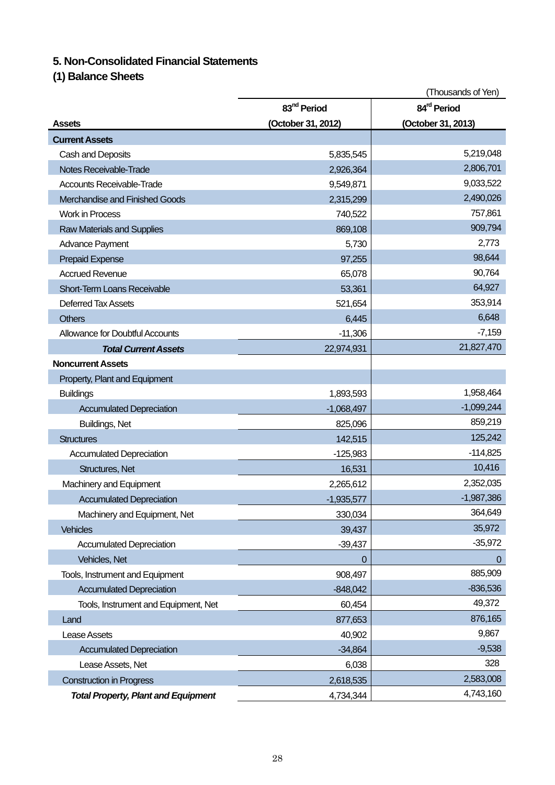# **5. Non-Consolidated Financial Statements**

**(1) Balance Sheets** 

|                                            | (Thousands of Yen)      |                         |  |
|--------------------------------------------|-------------------------|-------------------------|--|
|                                            | 83 <sup>nd</sup> Period | 84 <sup>rd</sup> Period |  |
| Assets                                     | (October 31, 2012)      | (October 31, 2013)      |  |
| <b>Current Assets</b>                      |                         |                         |  |
| Cash and Deposits                          | 5,835,545               | 5,219,048               |  |
| Notes Receivable-Trade                     | 2,926,364               | 2,806,701               |  |
| <b>Accounts Receivable-Trade</b>           | 9,549,871               | 9,033,522               |  |
| Merchandise and Finished Goods             | 2,315,299               | 2,490,026               |  |
| <b>Work in Process</b>                     | 740,522                 | 757,861                 |  |
| <b>Raw Materials and Supplies</b>          | 869,108                 | 909,794                 |  |
| Advance Payment                            | 5,730                   | 2,773                   |  |
| <b>Prepaid Expense</b>                     | 97,255                  | 98,644                  |  |
| <b>Accrued Revenue</b>                     | 65,078                  | 90,764                  |  |
| Short-Term Loans Receivable                | 53,361                  | 64,927                  |  |
| Deferred Tax Assets                        | 521,654                 | 353,914                 |  |
| <b>Others</b>                              | 6,445                   | 6,648                   |  |
| <b>Allowance for Doubtful Accounts</b>     | $-11,306$               | $-7,159$                |  |
| <b>Total Current Assets</b>                | 22,974,931              | 21,827,470              |  |
| <b>Noncurrent Assets</b>                   |                         |                         |  |
| Property, Plant and Equipment              |                         |                         |  |
| <b>Buildings</b>                           | 1,893,593               | 1,958,464               |  |
| <b>Accumulated Depreciation</b>            | $-1,068,497$            | $-1,099,244$            |  |
| Buildings, Net                             | 825,096                 | 859,219                 |  |
| <b>Structures</b>                          | 142,515                 | 125,242                 |  |
| <b>Accumulated Depreciation</b>            | $-125,983$              | $-114,825$              |  |
| Structures, Net                            | 16,531                  | 10,416                  |  |
| Machinery and Equipment                    | 2,265,612               | 2,352,035               |  |
| <b>Accumulated Depreciation</b>            | $-1,935,577$            | $-1,987,386$            |  |
| Machinery and Equipment, Net               | 330,034                 | 364,649                 |  |
| <b>Vehicles</b>                            | 39,437                  | 35,972                  |  |
| <b>Accumulated Depreciation</b>            | $-39,437$               | $-35,972$               |  |
| Vehicles, Net                              | 0                       | $\overline{0}$          |  |
| Tools, Instrument and Equipment            | 908,497                 | 885,909                 |  |
| <b>Accumulated Depreciation</b>            | $-848,042$              | $-836,536$              |  |
| Tools, Instrument and Equipment, Net       | 60,454                  | 49,372                  |  |
| Land                                       | 877,653                 | 876,165                 |  |
| Lease Assets                               | 40,902                  | 9,867                   |  |
| <b>Accumulated Depreciation</b>            | $-34,864$               | $-9,538$                |  |
| Lease Assets, Net                          | 6,038                   | 328                     |  |
| <b>Construction in Progress</b>            | 2,618,535               | 2,583,008               |  |
| <b>Total Property, Plant and Equipment</b> | 4,734,344               | 4,743,160               |  |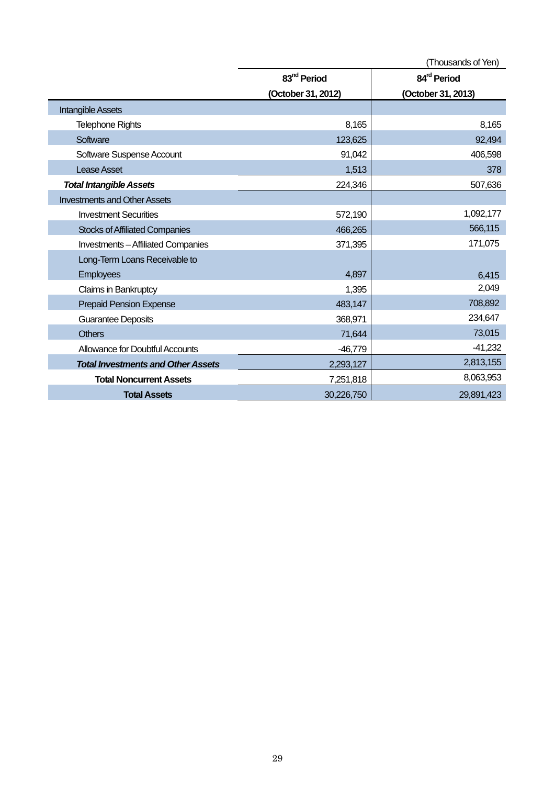|                                           |                         | (Thousands of Yen)      |
|-------------------------------------------|-------------------------|-------------------------|
|                                           | 83 <sup>nd</sup> Period | 84 <sup>rd</sup> Period |
|                                           | (October 31, 2012)      | (October 31, 2013)      |
| <b>Intangible Assets</b>                  |                         |                         |
| <b>Telephone Rights</b>                   | 8,165                   | 8,165                   |
| Software                                  | 123,625                 | 92,494                  |
| Software Suspense Account                 | 91,042                  | 406,598                 |
| <b>Lease Asset</b>                        | 1,513                   | 378                     |
| <b>Total Intangible Assets</b>            | 224,346                 | 507,636                 |
| <b>Investments and Other Assets</b>       |                         |                         |
| <b>Investment Securities</b>              | 572,190                 | 1,092,177               |
| <b>Stocks of Affiliated Companies</b>     | 466,265                 | 566,115                 |
| <b>Investments-Affiliated Companies</b>   | 371,395                 | 171,075                 |
| Long-Term Loans Receivable to             |                         |                         |
| Employees                                 | 4,897                   | 6,415                   |
| Claims in Bankruptcy                      | 1,395                   | 2,049                   |
| <b>Prepaid Pension Expense</b>            | 483,147                 | 708,892                 |
| <b>Guarantee Deposits</b>                 | 368,971                 | 234,647                 |
| <b>Others</b>                             | 71,644                  | 73,015                  |
| Allowance for Doubtful Accounts           | $-46,779$               | $-41,232$               |
| <b>Total Investments and Other Assets</b> | 2,293,127               | 2,813,155               |
| <b>Total Noncurrent Assets</b>            | 7,251,818               | 8,063,953               |
| <b>Total Assets</b>                       | 30,226,750              | 29,891,423              |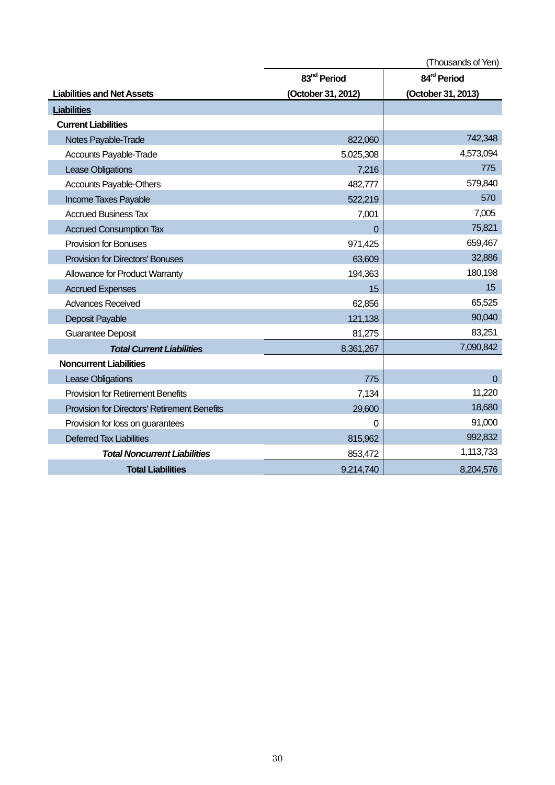|                                                     | (Thousands of Yen)      |                         |
|-----------------------------------------------------|-------------------------|-------------------------|
|                                                     | 83 <sup>nd</sup> Period | 84 <sup>rd</sup> Period |
| <b>Liabilities and Net Assets</b>                   | (October 31, 2012)      | (October 31, 2013)      |
| <b>Liabilities</b>                                  |                         |                         |
| <b>Current Liabilities</b>                          |                         |                         |
| Notes Payable-Trade                                 | 822,060                 | 742,348                 |
| Accounts Payable-Trade                              | 5,025,308               | 4,573,094               |
| Lease Obligations                                   | 7,216                   | 775                     |
| Accounts Payable-Others                             | 482,777                 | 579,840                 |
| Income Taxes Payable                                | 522,219                 | 570                     |
| <b>Accrued Business Tax</b>                         | 7,001                   | 7,005                   |
| <b>Accrued Consumption Tax</b>                      | 0                       | 75,821                  |
| <b>Provision for Bonuses</b>                        | 971,425                 | 659,467                 |
| <b>Provision for Directors' Bonuses</b>             | 63,609                  | 32,886                  |
| Allowance for Product Warranty                      | 194,363                 | 180,198                 |
| <b>Accrued Expenses</b>                             | 15                      | 15                      |
| <b>Advances Received</b>                            | 62,856                  | 65,525                  |
| Deposit Payable                                     | 121,138                 | 90,040                  |
| <b>Guarantee Deposit</b>                            | 81,275                  | 83,251                  |
| <b>Total Current Liabilities</b>                    | 8,361,267               | 7,090,842               |
| <b>Noncurrent Liabilities</b>                       |                         |                         |
| Lease Obligations                                   | 775                     | $\Omega$                |
| Provision for Retirement Benefits                   | 7,134                   | 11,220                  |
| <b>Provision for Directors' Retirement Benefits</b> | 29,600                  | 18,680                  |
| Provision for loss on guarantees                    | 0                       | 91,000                  |
| <b>Deferred Tax Liabilities</b>                     | 815,962                 | 992,832                 |
| <b>Total Noncurrent Liabilities</b>                 | 853,472                 | 1,113,733               |
| <b>Total Liabilities</b>                            | 9,214,740               | 8,204,576               |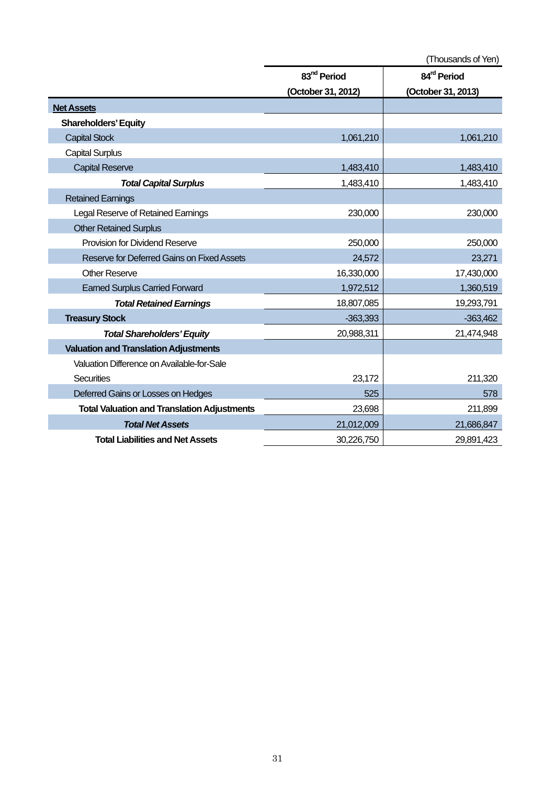|                                                    | 83 <sup>nd</sup> Period | 84 <sup>rd</sup> Period |
|----------------------------------------------------|-------------------------|-------------------------|
|                                                    | (October 31, 2012)      | (October 31, 2013)      |
| <b>Net Assets</b>                                  |                         |                         |
| <b>Shareholders' Equity</b>                        |                         |                         |
| <b>Capital Stock</b>                               | 1,061,210               | 1,061,210               |
| <b>Capital Surplus</b>                             |                         |                         |
| <b>Capital Reserve</b>                             | 1,483,410               | 1,483,410               |
| <b>Total Capital Surplus</b>                       | 1,483,410               | 1,483,410               |
| <b>Retained Earnings</b>                           |                         |                         |
| Legal Reserve of Retained Earnings                 | 230,000                 | 230,000                 |
| <b>Other Retained Surplus</b>                      |                         |                         |
| <b>Provision for Dividend Reserve</b>              | 250,000                 | 250,000                 |
| Reserve for Deferred Gains on Fixed Assets         | 24,572                  | 23,271                  |
| <b>Other Reserve</b>                               | 16,330,000              | 17,430,000              |
| <b>Earned Surplus Carried Forward</b>              | 1,972,512               | 1,360,519               |
| <b>Total Retained Earnings</b>                     | 18,807,085              | 19,293,791              |
| <b>Treasury Stock</b>                              | $-363,393$              | $-363,462$              |
| <b>Total Shareholders' Equity</b>                  | 20,988,311              | 21,474,948              |
| <b>Valuation and Translation Adjustments</b>       |                         |                         |
| Valuation Difference on Available-for-Sale         |                         |                         |
| <b>Securities</b>                                  | 23,172                  | 211,320                 |
| Deferred Gains or Losses on Hedges                 | 525                     | 578                     |
| <b>Total Valuation and Translation Adjustments</b> | 23,698                  | 211,899                 |
| <b>Total Net Assets</b>                            | 21,012,009              | 21,686,847              |
| <b>Total Liabilities and Net Assets</b>            | 30,226,750              | 29,891,423              |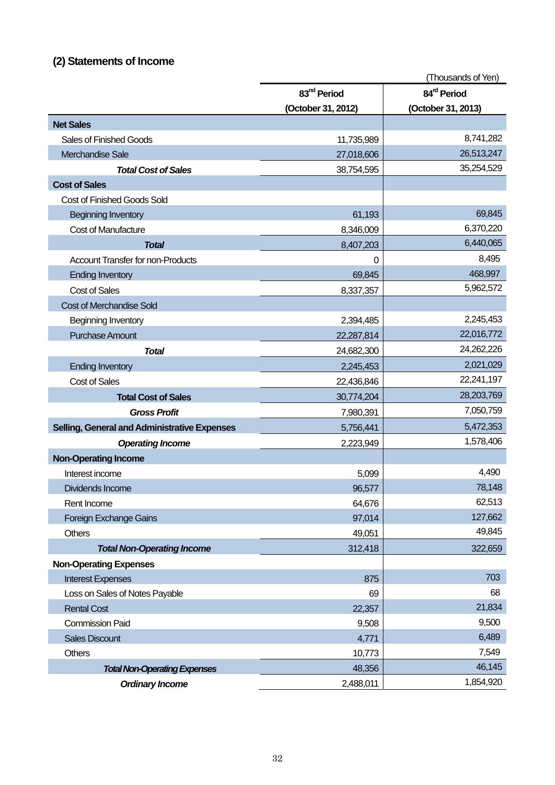# **(2) Statements of Income**

|                                              |                         | (Thousands of Yen)      |
|----------------------------------------------|-------------------------|-------------------------|
|                                              | 83 <sup>nd</sup> Period | 84 <sup>rd</sup> Period |
|                                              | (October 31, 2012)      | (October 31, 2013)      |
| <b>Net Sales</b>                             |                         |                         |
| <b>Sales of Finished Goods</b>               | 11,735,989              | 8,741,282               |
| Merchandise Sale                             | 27,018,606              | 26,513,247              |
| <b>Total Cost of Sales</b>                   | 38,754,595              | 35,254,529              |
| <b>Cost of Sales</b>                         |                         |                         |
| Cost of Finished Goods Sold                  |                         |                         |
| <b>Beginning Inventory</b>                   | 61,193                  | 69,845                  |
| <b>Cost of Manufacture</b>                   | 8,346,009               | 6,370,220               |
| <b>Total</b>                                 | 8,407,203               | 6,440,065               |
| <b>Account Transfer for non-Products</b>     | 0                       | 8,495                   |
| <b>Ending Inventory</b>                      | 69,845                  | 468,997                 |
| <b>Cost of Sales</b>                         | 8,337,357               | 5,962,572               |
| <b>Cost of Merchandise Sold</b>              |                         |                         |
| Beginning Inventory                          | 2,394,485               | 2,245,453               |
| <b>Purchase Amount</b>                       | 22,287,814              | 22,016,772              |
| <b>Total</b>                                 | 24,682,300              | 24,262,226              |
| <b>Ending Inventory</b>                      | 2,245,453               | 2,021,029               |
| <b>Cost of Sales</b>                         | 22,436,846              | 22,241,197              |
| <b>Total Cost of Sales</b>                   | 30,774,204              | 28,203,769              |
| <b>Gross Profit</b>                          | 7,980,391               | 7,050,759               |
| Selling, General and Administrative Expenses | 5,756,441               | 5,472,353               |
| <b>Operating Income</b>                      | 2,223,949               | 1,578,406               |
| <b>Non-Operating Income</b>                  |                         |                         |
| Interest income                              | 5,099                   | 4,490                   |
| Dividends Income                             | 96,577                  | 78,148                  |
| Rent Income                                  | 64,676                  | 62,513                  |
| Foreign Exchange Gains                       | 97,014                  | 127,662                 |
| <b>Others</b>                                | 49,051                  | 49,845                  |
| <b>Total Non-Operating Income</b>            | 312,418                 | 322,659                 |
| <b>Non-Operating Expenses</b>                |                         |                         |
| <b>Interest Expenses</b>                     | 875                     | 703                     |
| Loss on Sales of Notes Payable               | 69                      | 68                      |
| <b>Rental Cost</b>                           | 22,357                  | 21,834                  |
| <b>Commission Paid</b>                       | 9,508                   | 9,500                   |
| <b>Sales Discount</b>                        | 4,771                   | 6,489                   |
| <b>Others</b>                                | 10,773                  | 7,549                   |
| <b>Total Non-Operating Expenses</b>          | 48,356                  | 46,145                  |
| <b>Ordinary Income</b>                       | 2,488,011               | 1,854,920               |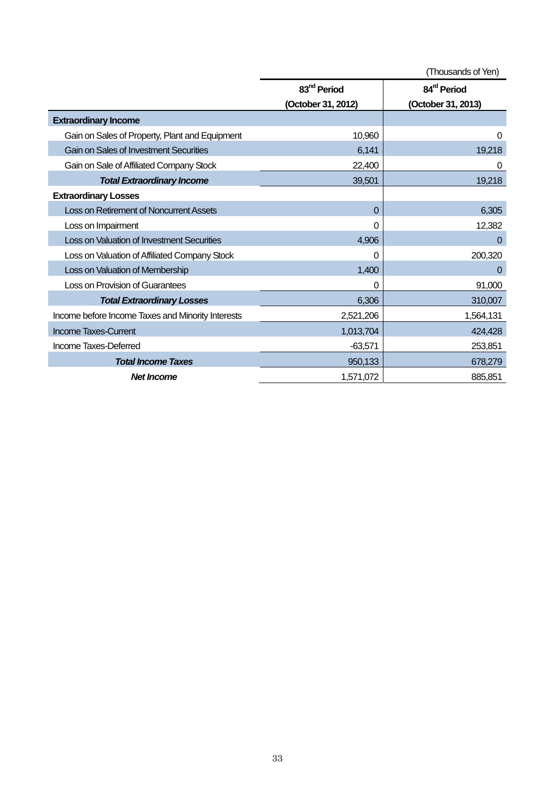|                                                   | (Thousands of Yen)      |                         |
|---------------------------------------------------|-------------------------|-------------------------|
|                                                   | 83 <sup>nd</sup> Period | 84 <sup>rd</sup> Period |
|                                                   | (October 31, 2012)      | (October 31, 2013)      |
| <b>Extraordinary Income</b>                       |                         |                         |
| Gain on Sales of Property, Plant and Equipment    | 10,960                  | 0                       |
| <b>Gain on Sales of Investment Securities</b>     | 6,141                   | 19,218                  |
| Gain on Sale of Affiliated Company Stock          | 22,400                  | 0                       |
| <b>Total Extraordinary Income</b>                 | 39,501                  | 19,218                  |
| <b>Extraordinary Losses</b>                       |                         |                         |
| <b>Loss on Retirement of Noncurrent Assets</b>    | 0                       | 6,305                   |
| Loss on Impairment                                | 0                       | 12,382                  |
| <b>Loss on Valuation of Investment Securities</b> | 4,906                   | $\Omega$                |
| Loss on Valuation of Affiliated Company Stock     | 0                       | 200,320                 |
| Loss on Valuation of Membership                   | 1,400                   | 0                       |
| Loss on Provision of Guarantees                   | 0                       | 91,000                  |
| <b>Total Extraordinary Losses</b>                 | 6,306                   | 310,007                 |
| Income before Income Taxes and Minority Interests | 2,521,206               | 1,564,131               |
| <b>Income Taxes-Current</b>                       | 1,013,704               | 424,428                 |
| Income Taxes-Deferred                             | $-63,571$               | 253,851                 |
| <b>Total Income Taxes</b>                         | 950,133                 | 678,279                 |
| <b>Net Income</b>                                 | 1,571,072               | 885,851                 |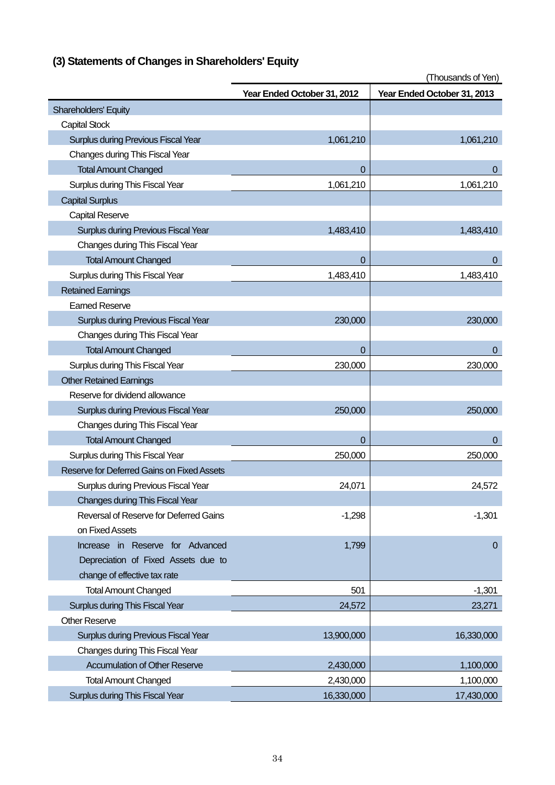|                                            | Year Ended October 31, 2012 | Year Ended October 31, 2013 |
|--------------------------------------------|-----------------------------|-----------------------------|
| Shareholders' Equity                       |                             |                             |
| <b>Capital Stock</b>                       |                             |                             |
| <b>Surplus during Previous Fiscal Year</b> | 1,061,210                   | 1,061,210                   |
| Changes during This Fiscal Year            |                             |                             |
| <b>Total Amount Changed</b>                | $\mathbf 0$                 | 0                           |
| Surplus during This Fiscal Year            | 1,061,210                   | 1,061,210                   |
| <b>Capital Surplus</b>                     |                             |                             |
| <b>Capital Reserve</b>                     |                             |                             |
| Surplus during Previous Fiscal Year        | 1,483,410                   | 1,483,410                   |
| Changes during This Fiscal Year            |                             |                             |
| <b>Total Amount Changed</b>                | 0                           | $\overline{0}$              |
| Surplus during This Fiscal Year            | 1,483,410                   | 1,483,410                   |
| <b>Retained Earnings</b>                   |                             |                             |
| <b>Earned Reserve</b>                      |                             |                             |
| <b>Surplus during Previous Fiscal Year</b> | 230,000                     | 230,000                     |
| Changes during This Fiscal Year            |                             |                             |
| <b>Total Amount Changed</b>                | $\Omega$                    | $\overline{0}$              |
| Surplus during This Fiscal Year            | 230,000                     | 230,000                     |
| <b>Other Retained Earnings</b>             |                             |                             |
| Reserve for dividend allowance             |                             |                             |
| <b>Surplus during Previous Fiscal Year</b> | 250,000                     | 250,000                     |
| Changes during This Fiscal Year            |                             |                             |
| <b>Total Amount Changed</b>                | 0                           | $\pmb{0}$                   |
| Surplus during This Fiscal Year            | 250,000                     | 250,000                     |
| Reserve for Deferred Gains on Fixed Assets |                             |                             |
| Surplus during Previous Fiscal Year        | 24,071                      | 24,572                      |
| Changes during This Fiscal Year            |                             |                             |
| Reversal of Reserve for Deferred Gains     | $-1,298$                    | $-1,301$                    |
| on Fixed Assets                            |                             |                             |
| Increase in Reserve for Advanced           | 1,799                       | $\overline{0}$              |
| Depreciation of Fixed Assets due to        |                             |                             |
| change of effective tax rate               |                             |                             |
| <b>Total Amount Changed</b>                | 501                         | $-1,301$                    |
| Surplus during This Fiscal Year            | 24,572                      | 23,271                      |
| <b>Other Reserve</b>                       |                             |                             |
| <b>Surplus during Previous Fiscal Year</b> | 13,900,000                  | 16,330,000                  |
| Changes during This Fiscal Year            |                             |                             |
| <b>Accumulation of Other Reserve</b>       | 2,430,000                   | 1,100,000                   |
| <b>Total Amount Changed</b>                | 2,430,000                   | 1,100,000                   |
| Surplus during This Fiscal Year            | 16,330,000                  | 17,430,000                  |

# **(3) Statements of Changes in Shareholders' Equity**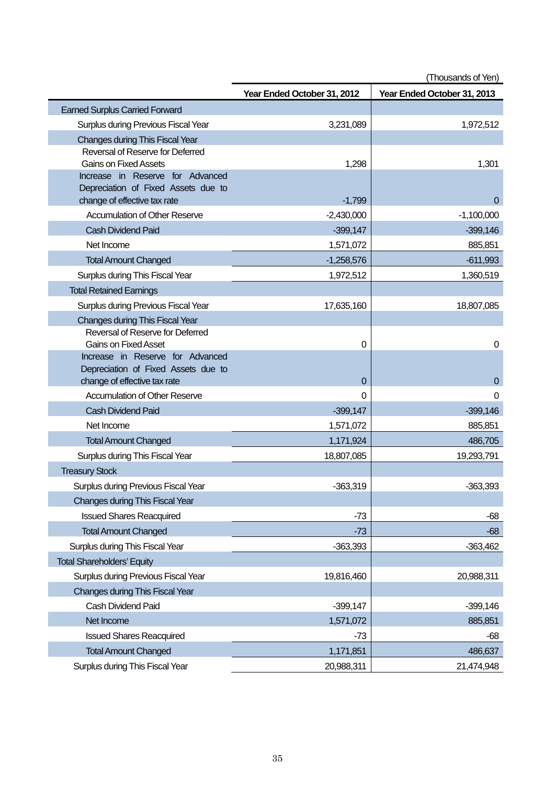|                                                                  | (Thousands of Yen)          |                             |  |
|------------------------------------------------------------------|-----------------------------|-----------------------------|--|
|                                                                  | Year Ended October 31, 2012 | Year Ended October 31, 2013 |  |
| <b>Earned Surplus Carried Forward</b>                            |                             |                             |  |
| Surplus during Previous Fiscal Year                              | 3,231,089                   | 1,972,512                   |  |
| <b>Changes during This Fiscal Year</b>                           |                             |                             |  |
| Reversal of Reserve for Deferred                                 |                             |                             |  |
| <b>Gains on Fixed Assets</b><br>Increase in Reserve for Advanced | 1,298                       | 1,301                       |  |
| Depreciation of Fixed Assets due to                              |                             |                             |  |
| change of effective tax rate                                     | $-1,799$                    | $\mathbf{0}$                |  |
| <b>Accumulation of Other Reserve</b>                             | $-2,430,000$                | $-1,100,000$                |  |
| <b>Cash Dividend Paid</b>                                        | $-399,147$                  | $-399,146$                  |  |
| Net Income                                                       | 1,571,072                   | 885,851                     |  |
| <b>Total Amount Changed</b>                                      | $-1,258,576$                | $-611,993$                  |  |
| Surplus during This Fiscal Year                                  | 1,972,512                   | 1,360,519                   |  |
| <b>Total Retained Earnings</b>                                   |                             |                             |  |
| Surplus during Previous Fiscal Year                              | 17,635,160                  | 18,807,085                  |  |
| <b>Changes during This Fiscal Year</b>                           |                             |                             |  |
| Reversal of Reserve for Deferred                                 |                             |                             |  |
| <b>Gains on Fixed Asset</b><br>Increase in Reserve for Advanced  | 0                           | 0                           |  |
| Depreciation of Fixed Assets due to                              |                             |                             |  |
| change of effective tax rate                                     | 0                           | $\boldsymbol{0}$            |  |
| <b>Accumulation of Other Reserve</b>                             | 0                           | 0                           |  |
| <b>Cash Dividend Paid</b>                                        | $-399,147$                  | $-399,146$                  |  |
| Net Income                                                       | 1,571,072                   | 885,851                     |  |
| <b>Total Amount Changed</b>                                      | 1,171,924                   | 486,705                     |  |
| Surplus during This Fiscal Year                                  | 18,807,085                  | 19,293,791                  |  |
| <b>Treasury Stock</b>                                            |                             |                             |  |
| <b>Surplus during Previous Fiscal Year</b>                       | $-363,319$                  | $-363,393$                  |  |
| <b>Changes during This Fiscal Year</b>                           |                             |                             |  |
| <b>Issued Shares Reacquired</b>                                  | $-73$                       | $-68$                       |  |
| <b>Total Amount Changed</b>                                      | $-73$                       | -68                         |  |
| Surplus during This Fiscal Year                                  | $-363,393$                  | $-363,462$                  |  |
| <b>Total Shareholders' Equity</b>                                |                             |                             |  |
| Surplus during Previous Fiscal Year                              | 19,816,460                  | 20,988,311                  |  |
| <b>Changes during This Fiscal Year</b>                           |                             |                             |  |
| Cash Dividend Paid                                               | $-399,147$                  | $-399,146$                  |  |
| Net Income                                                       | 1,571,072                   | 885,851                     |  |
| <b>Issued Shares Reacquired</b>                                  | $-73$                       | $-68$                       |  |
| <b>Total Amount Changed</b>                                      | 1,171,851                   | 486,637                     |  |
| Surplus during This Fiscal Year                                  | 20,988,311                  | 21,474,948                  |  |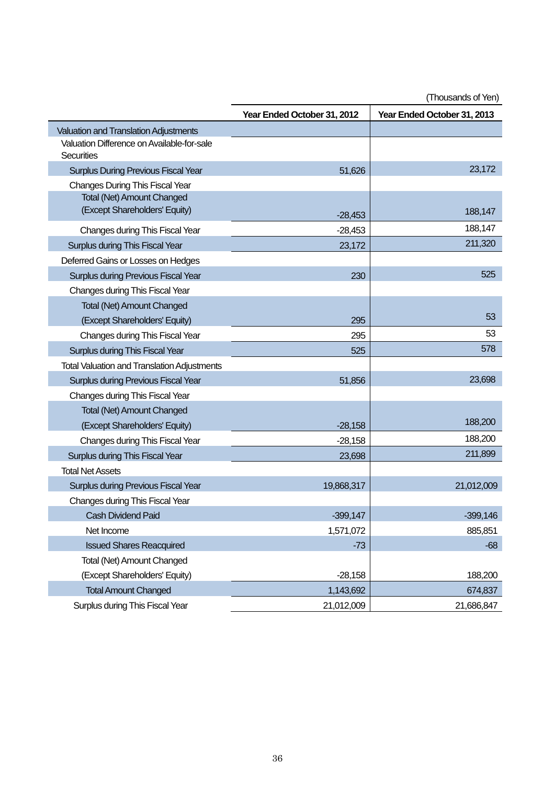|                                                          | Year Ended October 31, 2012 | Year Ended October 31, 2013 |
|----------------------------------------------------------|-----------------------------|-----------------------------|
| <b>Valuation and Translation Adjustments</b>             |                             |                             |
| Valuation Difference on Available-for-sale<br>Securities |                             |                             |
| <b>Surplus During Previous Fiscal Year</b>               | 51,626                      | 23,172                      |
| <b>Changes During This Fiscal Year</b>                   |                             |                             |
| <b>Total (Net) Amount Changed</b>                        |                             |                             |
| (Except Shareholders' Equity)                            | $-28,453$                   | 188,147                     |
| Changes during This Fiscal Year                          | $-28,453$                   | 188,147                     |
| Surplus during This Fiscal Year                          | 23,172                      | 211,320                     |
| Deferred Gains or Losses on Hedges                       |                             |                             |
| Surplus during Previous Fiscal Year                      | 230                         | 525                         |
| Changes during This Fiscal Year                          |                             |                             |
| <b>Total (Net) Amount Changed</b>                        |                             |                             |
| (Except Shareholders' Equity)                            | 295                         | 53                          |
| Changes during This Fiscal Year                          | 295                         | 53                          |
| Surplus during This Fiscal Year                          | 525                         | 578                         |
| <b>Total Valuation and Translation Adjustments</b>       |                             |                             |
| Surplus during Previous Fiscal Year                      | 51,856                      | 23,698                      |
| Changes during This Fiscal Year                          |                             |                             |
| <b>Total (Net) Amount Changed</b>                        |                             |                             |
| (Except Shareholders' Equity)                            | $-28,158$                   | 188,200                     |
| Changes during This Fiscal Year                          | $-28,158$                   | 188,200                     |
| Surplus during This Fiscal Year                          | 23,698                      | 211,899                     |
| <b>Total Net Assets</b>                                  |                             |                             |
| Surplus during Previous Fiscal Year                      | 19,868,317                  | 21,012,009                  |
| Changes during This Fiscal Year                          |                             |                             |
| <b>Cash Dividend Paid</b>                                | $-399,147$                  | $-399,146$                  |
| Net Income                                               | 1,571,072                   | 885,851                     |
| <b>Issued Shares Reacquired</b>                          | $-73$                       | $-68$                       |
| Total (Net) Amount Changed                               |                             |                             |
| (Except Shareholders' Equity)                            | $-28,158$                   | 188,200                     |
| <b>Total Amount Changed</b>                              | 1,143,692                   | 674,837                     |
| Surplus during This Fiscal Year                          | 21,012,009                  | 21,686,847                  |